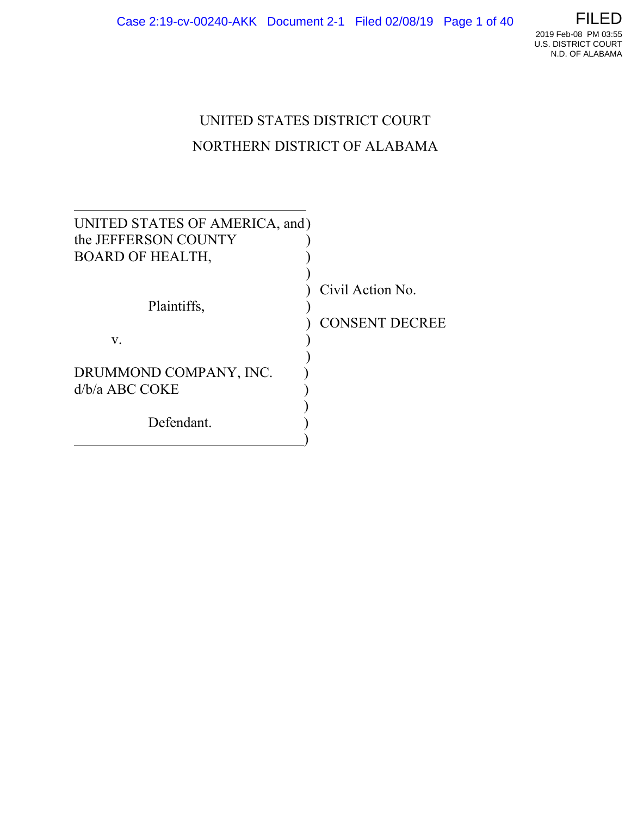

# UNITED STATES DISTRICT COURT NORTHERN DISTRICT OF ALABAMA

| UNITED STATES OF AMERICA, and)             |                                           |
|--------------------------------------------|-------------------------------------------|
| the JEFFERSON COUNTY                       |                                           |
| <b>BOARD OF HEALTH,</b>                    |                                           |
| Plaintiffs,                                | Civil Action No.<br><b>CONSENT DECREE</b> |
| V.                                         |                                           |
| DRUMMOND COMPANY, INC.<br>$d/b/a$ ABC COKE |                                           |
| Defendant.                                 |                                           |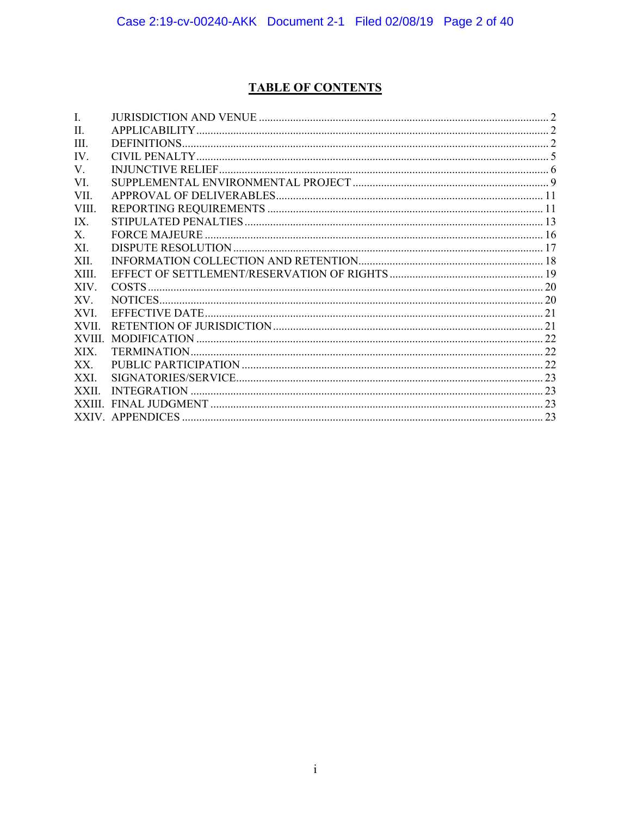# **TABLE OF CONTENTS**

| I.           |  |
|--------------|--|
| $\Pi$ .      |  |
| III.         |  |
| IV.          |  |
| V.           |  |
| VI.          |  |
| VII.         |  |
| VIII.        |  |
| IX.          |  |
| $X_{-}$      |  |
| XI.          |  |
| XII.         |  |
| XIII.        |  |
| XIV.         |  |
| XV.          |  |
| XVI.         |  |
| XVII.        |  |
| <b>XVIII</b> |  |
| XIX.         |  |
| XX           |  |
| XXI.         |  |
| XXII.        |  |
|              |  |
|              |  |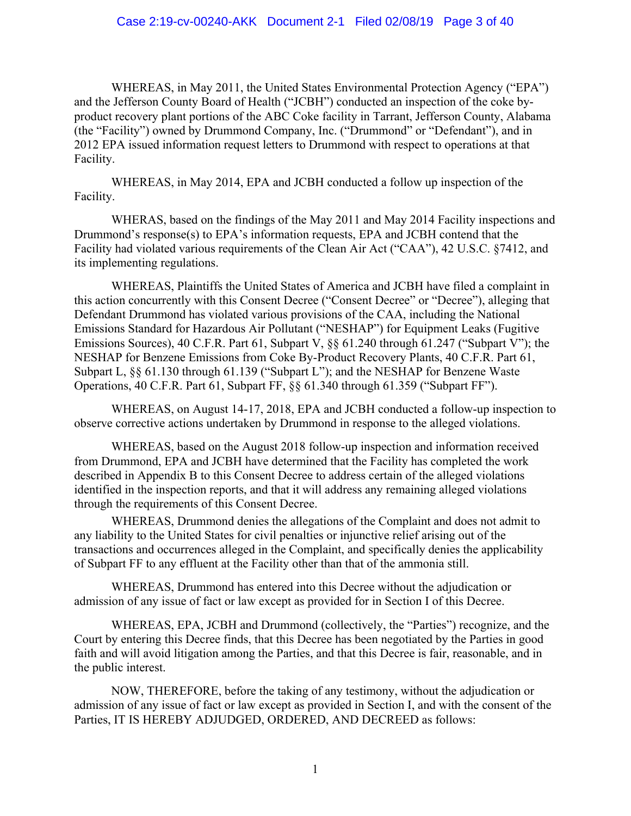WHEREAS, in May 2011, the United States Environmental Protection Agency ("EPA") and the Jefferson County Board of Health ("JCBH") conducted an inspection of the coke byproduct recovery plant portions of the ABC Coke facility in Tarrant, Jefferson County, Alabama (the "Facility") owned by Drummond Company, Inc. ("Drummond" or "Defendant"), and in 2012 EPA issued information request letters to Drummond with respect to operations at that Facility.

WHEREAS, in May 2014, EPA and JCBH conducted a follow up inspection of the Facility.

WHERAS, based on the findings of the May 2011 and May 2014 Facility inspections and Drummond's response(s) to EPA's information requests, EPA and JCBH contend that the Facility had violated various requirements of the Clean Air Act ("CAA"), 42 U.S.C. §7412, and its implementing regulations.

WHEREAS, Plaintiffs the United States of America and JCBH have filed a complaint in this action concurrently with this Consent Decree ("Consent Decree" or "Decree"), alleging that Defendant Drummond has violated various provisions of the CAA, including the National Emissions Standard for Hazardous Air Pollutant ("NESHAP") for Equipment Leaks (Fugitive Emissions Sources), 40 C.F.R. Part 61, Subpart V,  $\S$  61.240 through 61.247 ("Subpart V"); the NESHAP for Benzene Emissions from Coke By-Product Recovery Plants, 40 C.F.R. Part 61, Subpart L, §§ 61.130 through 61.139 ("Subpart L"); and the NESHAP for Benzene Waste Operations, 40 C.F.R. Part 61, Subpart FF, §§ 61.340 through 61.359 ("Subpart FF").

WHEREAS, on August 14-17, 2018, EPA and JCBH conducted a follow-up inspection to observe corrective actions undertaken by Drummond in response to the alleged violations.

WHEREAS, based on the August 2018 follow-up inspection and information received from Drummond, EPA and JCBH have determined that the Facility has completed the work described in Appendix B to this Consent Decree to address certain of the alleged violations identified in the inspection reports, and that it will address any remaining alleged violations through the requirements of this Consent Decree.

WHEREAS, Drummond denies the allegations of the Complaint and does not admit to any liability to the United States for civil penalties or injunctive relief arising out of the transactions and occurrences alleged in the Complaint, and specifically denies the applicability of Subpart FF to any effluent at the Facility other than that of the ammonia still.

WHEREAS, Drummond has entered into this Decree without the adjudication or admission of any issue of fact or law except as provided for in Section I of this Decree.

WHEREAS, EPA, JCBH and Drummond (collectively, the "Parties") recognize, and the Court by entering this Decree finds, that this Decree has been negotiated by the Parties in good faith and will avoid litigation among the Parties, and that this Decree is fair, reasonable, and in the public interest.

 NOW, THEREFORE, before the taking of any testimony, without the adjudication or admission of any issue of fact or law except as provided in Section I, and with the consent of the Parties, IT IS HEREBY ADJUDGED, ORDERED, AND DECREED as follows: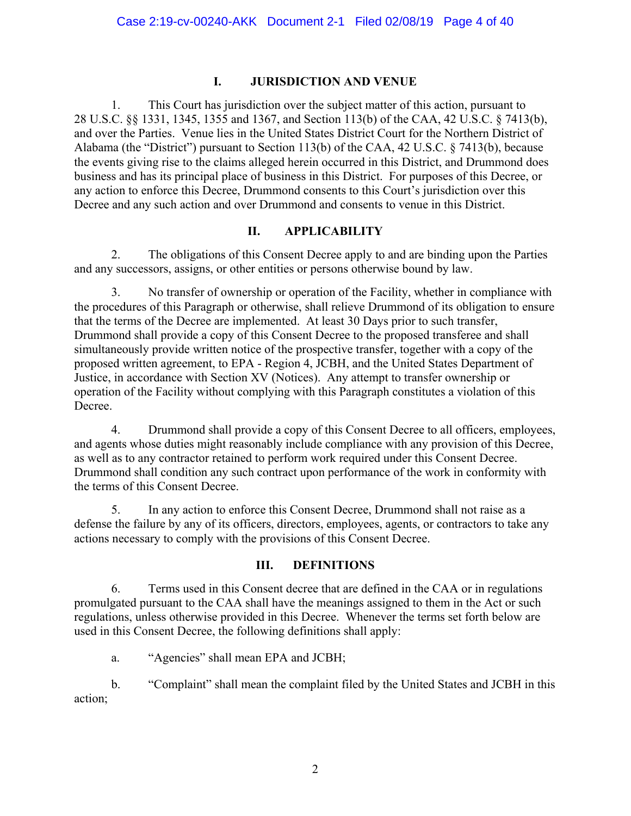#### **I. JURISDICTION AND VENUE**

1. This Court has jurisdiction over the subject matter of this action, pursuant to 28 U.S.C. §§ 1331, 1345, 1355 and 1367, and Section 113(b) of the CAA, 42 U.S.C. § 7413(b), and over the Parties. Venue lies in the United States District Court for the Northern District of Alabama (the "District") pursuant to Section 113(b) of the CAA, 42 U.S.C. § 7413(b), because the events giving rise to the claims alleged herein occurred in this District, and Drummond does business and has its principal place of business in this District. For purposes of this Decree, or any action to enforce this Decree, Drummond consents to this Court's jurisdiction over this Decree and any such action and over Drummond and consents to venue in this District.

#### **II. APPLICABILITY**

2. The obligations of this Consent Decree apply to and are binding upon the Parties and any successors, assigns, or other entities or persons otherwise bound by law.

3. No transfer of ownership or operation of the Facility, whether in compliance with the procedures of this Paragraph or otherwise, shall relieve Drummond of its obligation to ensure that the terms of the Decree are implemented. At least 30 Days prior to such transfer, Drummond shall provide a copy of this Consent Decree to the proposed transferee and shall simultaneously provide written notice of the prospective transfer, together with a copy of the proposed written agreement, to EPA - Region 4, JCBH, and the United States Department of Justice, in accordance with Section XV (Notices). Any attempt to transfer ownership or operation of the Facility without complying with this Paragraph constitutes a violation of this Decree.

4. Drummond shall provide a copy of this Consent Decree to all officers, employees, and agents whose duties might reasonably include compliance with any provision of this Decree, as well as to any contractor retained to perform work required under this Consent Decree. Drummond shall condition any such contract upon performance of the work in conformity with the terms of this Consent Decree.

5. In any action to enforce this Consent Decree, Drummond shall not raise as a defense the failure by any of its officers, directors, employees, agents, or contractors to take any actions necessary to comply with the provisions of this Consent Decree.

#### **III. DEFINITIONS**

6. Terms used in this Consent decree that are defined in the CAA or in regulations promulgated pursuant to the CAA shall have the meanings assigned to them in the Act or such regulations, unless otherwise provided in this Decree. Whenever the terms set forth below are used in this Consent Decree, the following definitions shall apply:

a. "Agencies" shall mean EPA and JCBH;

b. "Complaint" shall mean the complaint filed by the United States and JCBH in this action;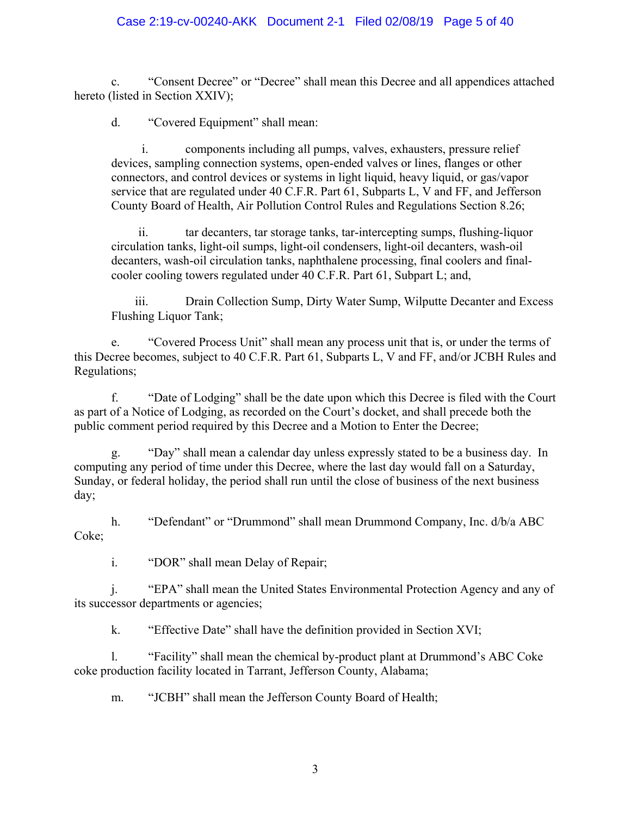#### Case 2:19-cv-00240-AKK Document 2-1 Filed 02/08/19 Page 5 of 40

c. "Consent Decree" or "Decree" shall mean this Decree and all appendices attached hereto (listed in Section XXIV);

d. "Covered Equipment" shall mean:

components including all pumps, valves, exhausters, pressure relief devices, sampling connection systems, open-ended valves or lines, flanges or other connectors, and control devices or systems in light liquid, heavy liquid, or gas/vapor service that are regulated under 40 C.F.R. Part 61, Subparts L, V and FF, and Jefferson County Board of Health, Air Pollution Control Rules and Regulations Section 8.26;

ii. tar decanters, tar storage tanks, tar-intercepting sumps, flushing-liquor circulation tanks, light-oil sumps, light-oil condensers, light-oil decanters, wash-oil decanters, wash-oil circulation tanks, naphthalene processing, final coolers and finalcooler cooling towers regulated under 40 C.F.R. Part 61, Subpart L; and,

iii. Drain Collection Sump, Dirty Water Sump, Wilputte Decanter and Excess Flushing Liquor Tank;

e. "Covered Process Unit" shall mean any process unit that is, or under the terms of this Decree becomes, subject to 40 C.F.R. Part 61, Subparts L, V and FF, and/or JCBH Rules and Regulations;

f. "Date of Lodging" shall be the date upon which this Decree is filed with the Court as part of a Notice of Lodging, as recorded on the Court's docket, and shall precede both the public comment period required by this Decree and a Motion to Enter the Decree;

g. "Day" shall mean a calendar day unless expressly stated to be a business day. In computing any period of time under this Decree, where the last day would fall on a Saturday, Sunday, or federal holiday, the period shall run until the close of business of the next business day;

h. "Defendant" or "Drummond" shall mean Drummond Company, Inc. d/b/a ABC Coke;

i. "DOR" shall mean Delay of Repair;

j. "EPA" shall mean the United States Environmental Protection Agency and any of its successor departments or agencies;

k. "Effective Date" shall have the definition provided in Section XVI;

l. "Facility" shall mean the chemical by-product plant at Drummond's ABC Coke coke production facility located in Tarrant, Jefferson County, Alabama;

m. "JCBH" shall mean the Jefferson County Board of Health;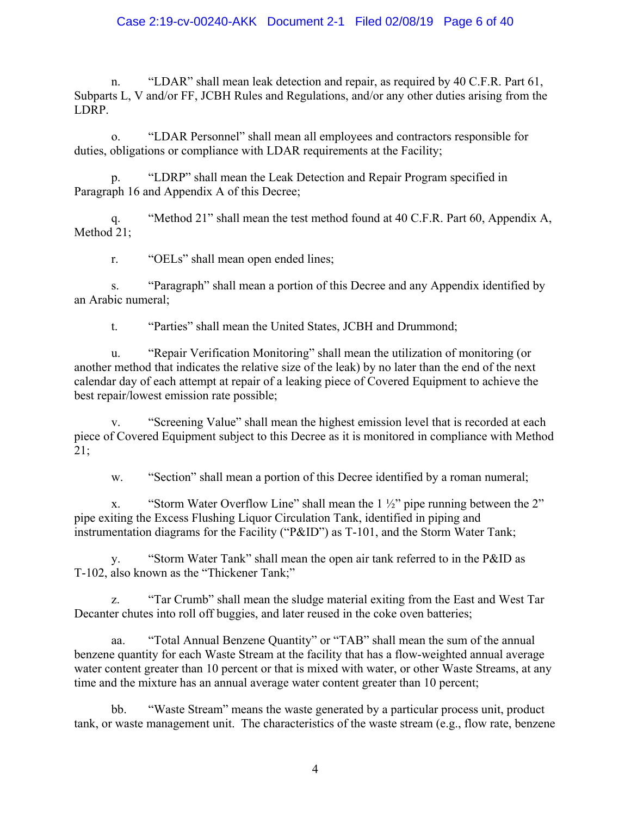#### Case 2:19-cv-00240-AKK Document 2-1 Filed 02/08/19 Page 6 of 40

n. "LDAR" shall mean leak detection and repair, as required by 40 C.F.R. Part 61, Subparts L, V and/or FF, JCBH Rules and Regulations, and/or any other duties arising from the LDRP.

o. "LDAR Personnel" shall mean all employees and contractors responsible for duties, obligations or compliance with LDAR requirements at the Facility;

p. "LDRP" shall mean the Leak Detection and Repair Program specified in Paragraph 16 and Appendix A of this Decree;

q. "Method 21" shall mean the test method found at 40 C.F.R. Part 60, Appendix A, Method 21;

r. "OELs" shall mean open ended lines;

s. "Paragraph" shall mean a portion of this Decree and any Appendix identified by an Arabic numeral;

t. "Parties" shall mean the United States, JCBH and Drummond;

u. "Repair Verification Monitoring" shall mean the utilization of monitoring (or another method that indicates the relative size of the leak) by no later than the end of the next calendar day of each attempt at repair of a leaking piece of Covered Equipment to achieve the best repair/lowest emission rate possible;

v. "Screening Value" shall mean the highest emission level that is recorded at each piece of Covered Equipment subject to this Decree as it is monitored in compliance with Method 21;

w. "Section" shall mean a portion of this Decree identified by a roman numeral;

x. "Storm Water Overflow Line" shall mean the  $1\frac{1}{2}$ " pipe running between the 2" pipe exiting the Excess Flushing Liquor Circulation Tank, identified in piping and instrumentation diagrams for the Facility ("P&ID") as T-101, and the Storm Water Tank;

y. "Storm Water Tank" shall mean the open air tank referred to in the P&ID as T-102, also known as the "Thickener Tank;"

z. "Tar Crumb" shall mean the sludge material exiting from the East and West Tar Decanter chutes into roll off buggies, and later reused in the coke oven batteries;

aa. "Total Annual Benzene Quantity" or "TAB" shall mean the sum of the annual benzene quantity for each Waste Stream at the facility that has a flow-weighted annual average water content greater than 10 percent or that is mixed with water, or other Waste Streams, at any time and the mixture has an annual average water content greater than 10 percent;

bb. "Waste Stream" means the waste generated by a particular process unit, product tank, or waste management unit. The characteristics of the waste stream (e.g., flow rate, benzene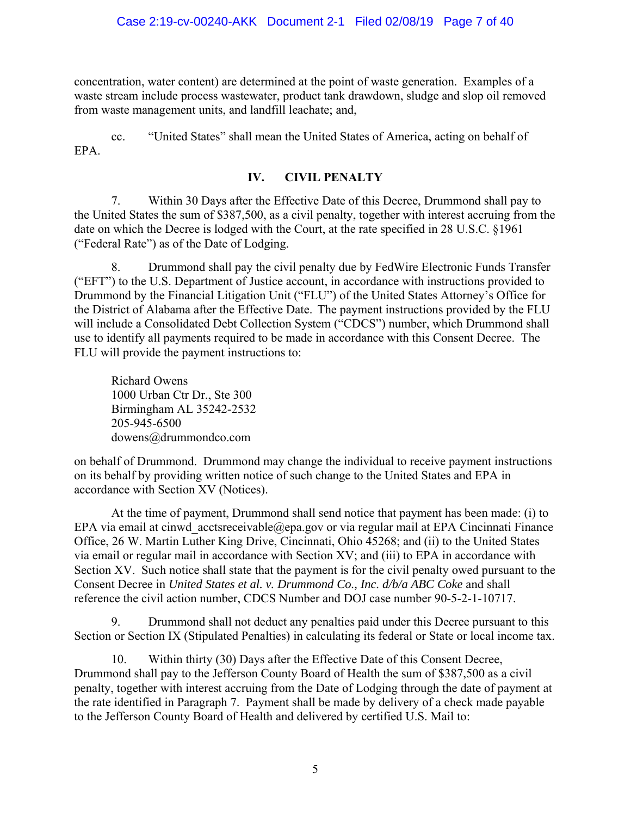concentration, water content) are determined at the point of waste generation. Examples of a waste stream include process wastewater, product tank drawdown, sludge and slop oil removed from waste management units, and landfill leachate; and,

cc. "United States" shall mean the United States of America, acting on behalf of EPA.

#### **IV. CIVIL PENALTY**

7. Within 30 Days after the Effective Date of this Decree, Drummond shall pay to the United States the sum of \$387,500, as a civil penalty, together with interest accruing from the date on which the Decree is lodged with the Court, at the rate specified in 28 U.S.C. §1961 ("Federal Rate") as of the Date of Lodging.

8. Drummond shall pay the civil penalty due by FedWire Electronic Funds Transfer ("EFT") to the U.S. Department of Justice account, in accordance with instructions provided to Drummond by the Financial Litigation Unit ("FLU") of the United States Attorney's Office for the District of Alabama after the Effective Date. The payment instructions provided by the FLU will include a Consolidated Debt Collection System ("CDCS") number, which Drummond shall use to identify all payments required to be made in accordance with this Consent Decree. The FLU will provide the payment instructions to:

Richard Owens 1000 Urban Ctr Dr., Ste 300 Birmingham AL 35242-2532 205-945-6500 dowens@drummondco.com

on behalf of Drummond. Drummond may change the individual to receive payment instructions on its behalf by providing written notice of such change to the United States and EPA in accordance with Section XV (Notices).

At the time of payment, Drummond shall send notice that payment has been made: (i) to EPA via email at cinwd acctsreceivable@epa.gov or via regular mail at EPA Cincinnati Finance Office, 26 W. Martin Luther King Drive, Cincinnati, Ohio 45268; and (ii) to the United States via email or regular mail in accordance with Section XV; and (iii) to EPA in accordance with Section XV. Such notice shall state that the payment is for the civil penalty owed pursuant to the Consent Decree in *United States et al. v. Drummond Co., Inc. d/b/a ABC Coke* and shall reference the civil action number, CDCS Number and DOJ case number 90-5-2-1-10717.

9. Drummond shall not deduct any penalties paid under this Decree pursuant to this Section or Section IX (Stipulated Penalties) in calculating its federal or State or local income tax.

10. Within thirty (30) Days after the Effective Date of this Consent Decree, Drummond shall pay to the Jefferson County Board of Health the sum of \$387,500 as a civil penalty, together with interest accruing from the Date of Lodging through the date of payment at the rate identified in Paragraph 7. Payment shall be made by delivery of a check made payable to the Jefferson County Board of Health and delivered by certified U.S. Mail to: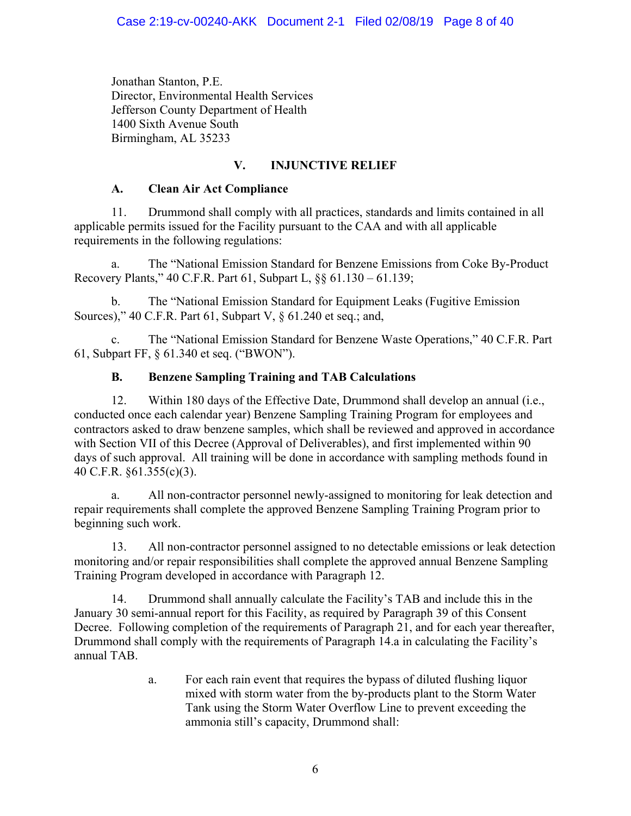Jonathan Stanton, P.E. Director, Environmental Health Services Jefferson County Department of Health 1400 Sixth Avenue South Birmingham, AL 35233

# **V. INJUNCTIVE RELIEF**

# **A. Clean Air Act Compliance**

11. Drummond shall comply with all practices, standards and limits contained in all applicable permits issued for the Facility pursuant to the CAA and with all applicable requirements in the following regulations:

a. The "National Emission Standard for Benzene Emissions from Coke By-Product Recovery Plants," 40 C.F.R. Part 61, Subpart L, §§ 61.130 – 61.139;

The "National Emission Standard for Equipment Leaks (Fugitive Emission Sources)," 40 C.F.R. Part 61, Subpart V, § 61.240 et seq.; and,

c. The "National Emission Standard for Benzene Waste Operations," 40 C.F.R. Part 61, Subpart FF, § 61.340 et seq. ("BWON").

# **B. Benzene Sampling Training and TAB Calculations**

12. Within 180 days of the Effective Date, Drummond shall develop an annual (i.e., conducted once each calendar year) Benzene Sampling Training Program for employees and contractors asked to draw benzene samples, which shall be reviewed and approved in accordance with Section VII of this Decree (Approval of Deliverables), and first implemented within 90 days of such approval. All training will be done in accordance with sampling methods found in 40 C.F.R. §61.355(c)(3).

a. All non-contractor personnel newly-assigned to monitoring for leak detection and repair requirements shall complete the approved Benzene Sampling Training Program prior to beginning such work.

13. All non-contractor personnel assigned to no detectable emissions or leak detection monitoring and/or repair responsibilities shall complete the approved annual Benzene Sampling Training Program developed in accordance with Paragraph 12.

14. Drummond shall annually calculate the Facility's TAB and include this in the January 30 semi-annual report for this Facility, as required by Paragraph 39 of this Consent Decree. Following completion of the requirements of Paragraph 21, and for each year thereafter, Drummond shall comply with the requirements of Paragraph 14.a in calculating the Facility's annual TAB.

> a. For each rain event that requires the bypass of diluted flushing liquor mixed with storm water from the by-products plant to the Storm Water Tank using the Storm Water Overflow Line to prevent exceeding the ammonia still's capacity, Drummond shall: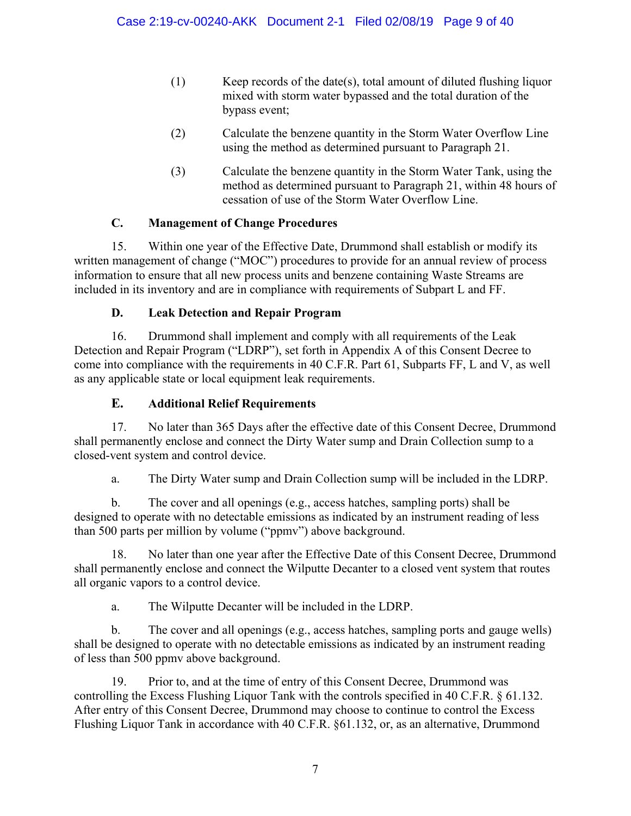- (1) Keep records of the date(s), total amount of diluted flushing liquor mixed with storm water bypassed and the total duration of the bypass event;
- (2) Calculate the benzene quantity in the Storm Water Overflow Line using the method as determined pursuant to Paragraph 21.
- (3) Calculate the benzene quantity in the Storm Water Tank, using the method as determined pursuant to Paragraph 21, within 48 hours of cessation of use of the Storm Water Overflow Line.

# **C. Management of Change Procedures**

15. Within one year of the Effective Date, Drummond shall establish or modify its written management of change ("MOC") procedures to provide for an annual review of process information to ensure that all new process units and benzene containing Waste Streams are included in its inventory and are in compliance with requirements of Subpart L and FF.

# **D. Leak Detection and Repair Program**

16. Drummond shall implement and comply with all requirements of the Leak Detection and Repair Program ("LDRP"), set forth in Appendix A of this Consent Decree to come into compliance with the requirements in 40 C.F.R. Part 61, Subparts FF, L and V, as well as any applicable state or local equipment leak requirements.

# **E. Additional Relief Requirements**

17. No later than 365 Days after the effective date of this Consent Decree, Drummond shall permanently enclose and connect the Dirty Water sump and Drain Collection sump to a closed-vent system and control device.

a. The Dirty Water sump and Drain Collection sump will be included in the LDRP.

b. The cover and all openings (e.g., access hatches, sampling ports) shall be designed to operate with no detectable emissions as indicated by an instrument reading of less than 500 parts per million by volume ("ppmv") above background.

18. No later than one year after the Effective Date of this Consent Decree, Drummond shall permanently enclose and connect the Wilputte Decanter to a closed vent system that routes all organic vapors to a control device.

a. The Wilputte Decanter will be included in the LDRP.

b. The cover and all openings (e.g., access hatches, sampling ports and gauge wells) shall be designed to operate with no detectable emissions as indicated by an instrument reading of less than 500 ppmv above background.

19. Prior to, and at the time of entry of this Consent Decree, Drummond was controlling the Excess Flushing Liquor Tank with the controls specified in 40 C.F.R. § 61.132. After entry of this Consent Decree, Drummond may choose to continue to control the Excess Flushing Liquor Tank in accordance with 40 C.F.R. §61.132, or, as an alternative, Drummond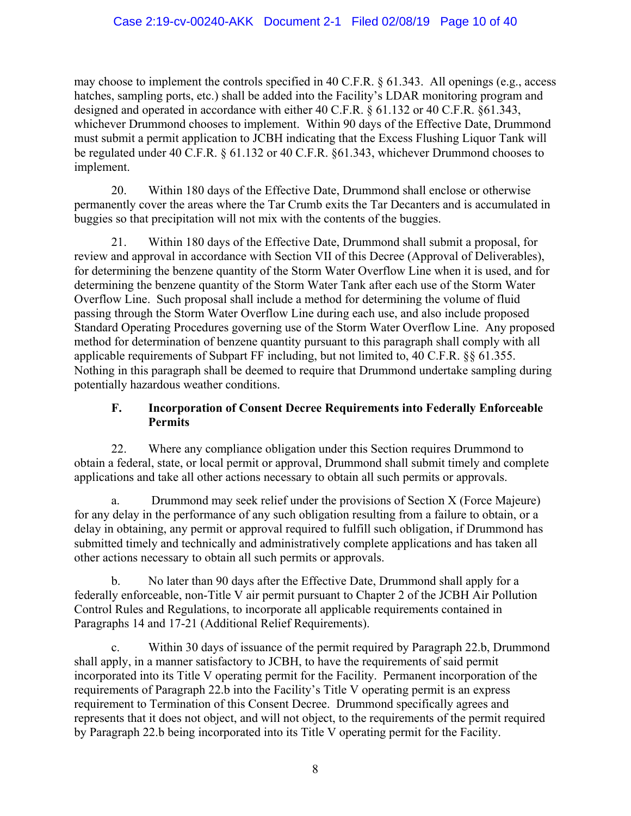may choose to implement the controls specified in 40 C.F.R. § 61.343. All openings (e.g., access hatches, sampling ports, etc.) shall be added into the Facility's LDAR monitoring program and designed and operated in accordance with either 40 C.F.R. § 61.132 or 40 C.F.R. §61.343, whichever Drummond chooses to implement. Within 90 days of the Effective Date, Drummond must submit a permit application to JCBH indicating that the Excess Flushing Liquor Tank will be regulated under 40 C.F.R. § 61.132 or 40 C.F.R. §61.343, whichever Drummond chooses to implement.

20. Within 180 days of the Effective Date, Drummond shall enclose or otherwise permanently cover the areas where the Tar Crumb exits the Tar Decanters and is accumulated in buggies so that precipitation will not mix with the contents of the buggies.

21. Within 180 days of the Effective Date, Drummond shall submit a proposal, for review and approval in accordance with Section VII of this Decree (Approval of Deliverables), for determining the benzene quantity of the Storm Water Overflow Line when it is used, and for determining the benzene quantity of the Storm Water Tank after each use of the Storm Water Overflow Line. Such proposal shall include a method for determining the volume of fluid passing through the Storm Water Overflow Line during each use, and also include proposed Standard Operating Procedures governing use of the Storm Water Overflow Line. Any proposed method for determination of benzene quantity pursuant to this paragraph shall comply with all applicable requirements of Subpart FF including, but not limited to, 40 C.F.R. §§ 61.355. Nothing in this paragraph shall be deemed to require that Drummond undertake sampling during potentially hazardous weather conditions.

#### **F. Incorporation of Consent Decree Requirements into Federally Enforceable Permits**

22. Where any compliance obligation under this Section requires Drummond to obtain a federal, state, or local permit or approval, Drummond shall submit timely and complete applications and take all other actions necessary to obtain all such permits or approvals.

a. Drummond may seek relief under the provisions of Section X (Force Majeure) for any delay in the performance of any such obligation resulting from a failure to obtain, or a delay in obtaining, any permit or approval required to fulfill such obligation, if Drummond has submitted timely and technically and administratively complete applications and has taken all other actions necessary to obtain all such permits or approvals.

b. No later than 90 days after the Effective Date, Drummond shall apply for a federally enforceable, non-Title V air permit pursuant to Chapter 2 of the JCBH Air Pollution Control Rules and Regulations, to incorporate all applicable requirements contained in Paragraphs 14 and 17-21 (Additional Relief Requirements).

c. Within 30 days of issuance of the permit required by Paragraph 22.b, Drummond shall apply, in a manner satisfactory to JCBH, to have the requirements of said permit incorporated into its Title V operating permit for the Facility. Permanent incorporation of the requirements of Paragraph 22.b into the Facility's Title V operating permit is an express requirement to Termination of this Consent Decree. Drummond specifically agrees and represents that it does not object, and will not object, to the requirements of the permit required by Paragraph 22.b being incorporated into its Title V operating permit for the Facility.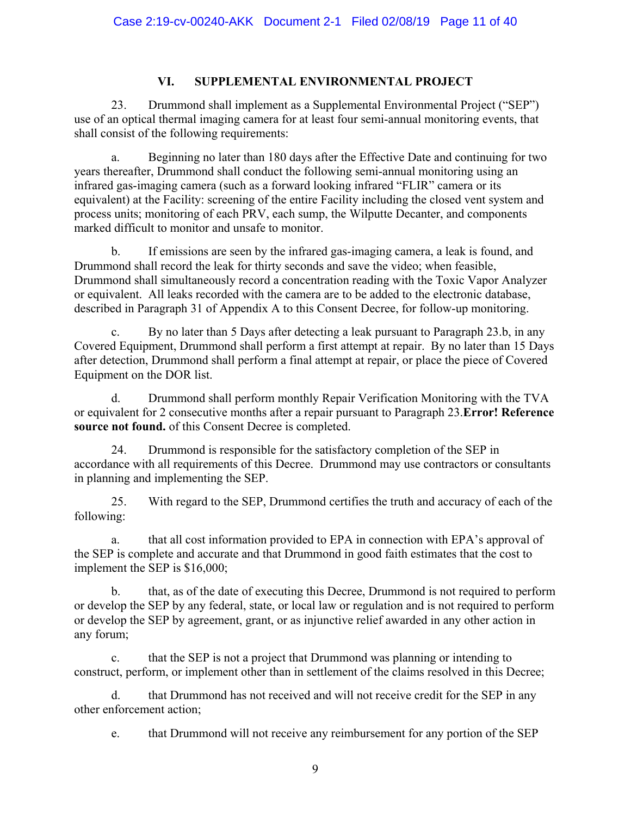#### **VI. SUPPLEMENTAL ENVIRONMENTAL PROJECT**

23. Drummond shall implement as a Supplemental Environmental Project ("SEP") use of an optical thermal imaging camera for at least four semi-annual monitoring events, that shall consist of the following requirements:

a. Beginning no later than 180 days after the Effective Date and continuing for two years thereafter, Drummond shall conduct the following semi-annual monitoring using an infrared gas-imaging camera (such as a forward looking infrared "FLIR" camera or its equivalent) at the Facility: screening of the entire Facility including the closed vent system and process units; monitoring of each PRV, each sump, the Wilputte Decanter, and components marked difficult to monitor and unsafe to monitor.

b. If emissions are seen by the infrared gas-imaging camera, a leak is found, and Drummond shall record the leak for thirty seconds and save the video; when feasible, Drummond shall simultaneously record a concentration reading with the Toxic Vapor Analyzer or equivalent. All leaks recorded with the camera are to be added to the electronic database, described in Paragraph 31 of Appendix A to this Consent Decree, for follow-up monitoring.

c. By no later than 5 Days after detecting a leak pursuant to Paragraph 23.b, in any Covered Equipment, Drummond shall perform a first attempt at repair. By no later than 15 Days after detection, Drummond shall perform a final attempt at repair, or place the piece of Covered Equipment on the DOR list.

d. Drummond shall perform monthly Repair Verification Monitoring with the TVA or equivalent for 2 consecutive months after a repair pursuant to Paragraph 23.**Error! Reference source not found.** of this Consent Decree is completed.

24. Drummond is responsible for the satisfactory completion of the SEP in accordance with all requirements of this Decree. Drummond may use contractors or consultants in planning and implementing the SEP.

25. With regard to the SEP, Drummond certifies the truth and accuracy of each of the following:

a. that all cost information provided to EPA in connection with EPA's approval of the SEP is complete and accurate and that Drummond in good faith estimates that the cost to implement the SEP is \$16,000;

b. that, as of the date of executing this Decree, Drummond is not required to perform or develop the SEP by any federal, state, or local law or regulation and is not required to perform or develop the SEP by agreement, grant, or as injunctive relief awarded in any other action in any forum;

c. that the SEP is not a project that Drummond was planning or intending to construct, perform, or implement other than in settlement of the claims resolved in this Decree;

d. that Drummond has not received and will not receive credit for the SEP in any other enforcement action;

e. that Drummond will not receive any reimbursement for any portion of the SEP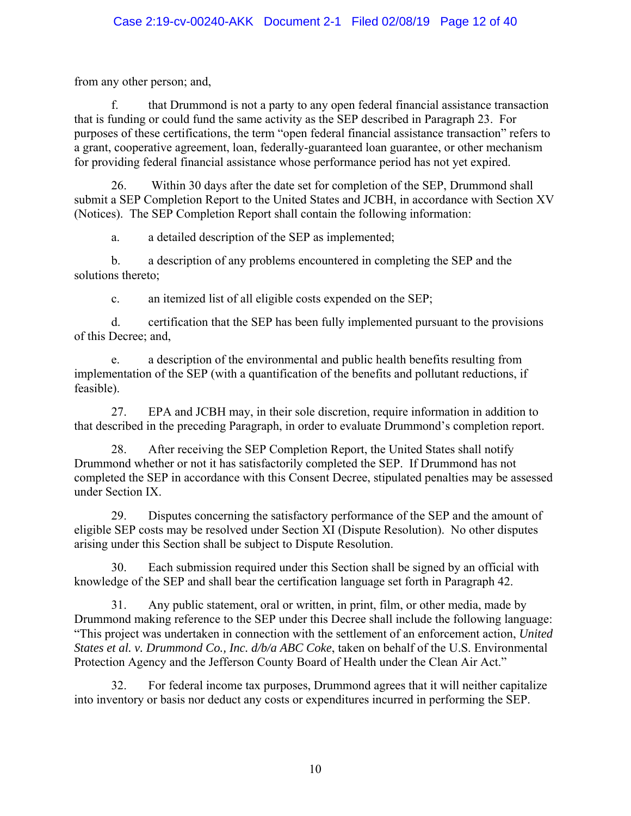from any other person; and,

f. that Drummond is not a party to any open federal financial assistance transaction that is funding or could fund the same activity as the SEP described in Paragraph 23. For purposes of these certifications, the term "open federal financial assistance transaction" refers to a grant, cooperative agreement, loan, federally-guaranteed loan guarantee, or other mechanism for providing federal financial assistance whose performance period has not yet expired.

26. Within 30 days after the date set for completion of the SEP, Drummond shall submit a SEP Completion Report to the United States and JCBH, in accordance with Section XV (Notices). The SEP Completion Report shall contain the following information:

a. a detailed description of the SEP as implemented;

b. a description of any problems encountered in completing the SEP and the solutions thereto;

c. an itemized list of all eligible costs expended on the SEP;

d. certification that the SEP has been fully implemented pursuant to the provisions of this Decree; and,

e. a description of the environmental and public health benefits resulting from implementation of the SEP (with a quantification of the benefits and pollutant reductions, if feasible).

27. EPA and JCBH may, in their sole discretion, require information in addition to that described in the preceding Paragraph, in order to evaluate Drummond's completion report.

28. After receiving the SEP Completion Report, the United States shall notify Drummond whether or not it has satisfactorily completed the SEP. If Drummond has not completed the SEP in accordance with this Consent Decree, stipulated penalties may be assessed under Section IX.

29. Disputes concerning the satisfactory performance of the SEP and the amount of eligible SEP costs may be resolved under Section XI (Dispute Resolution). No other disputes arising under this Section shall be subject to Dispute Resolution.

30. Each submission required under this Section shall be signed by an official with knowledge of the SEP and shall bear the certification language set forth in Paragraph 42.

31. Any public statement, oral or written, in print, film, or other media, made by Drummond making reference to the SEP under this Decree shall include the following language: "This project was undertaken in connection with the settlement of an enforcement action, *United States et al. v. Drummond Co., Inc. d/b/a ABC Coke*, taken on behalf of the U.S. Environmental Protection Agency and the Jefferson County Board of Health under the Clean Air Act."

32. For federal income tax purposes, Drummond agrees that it will neither capitalize into inventory or basis nor deduct any costs or expenditures incurred in performing the SEP.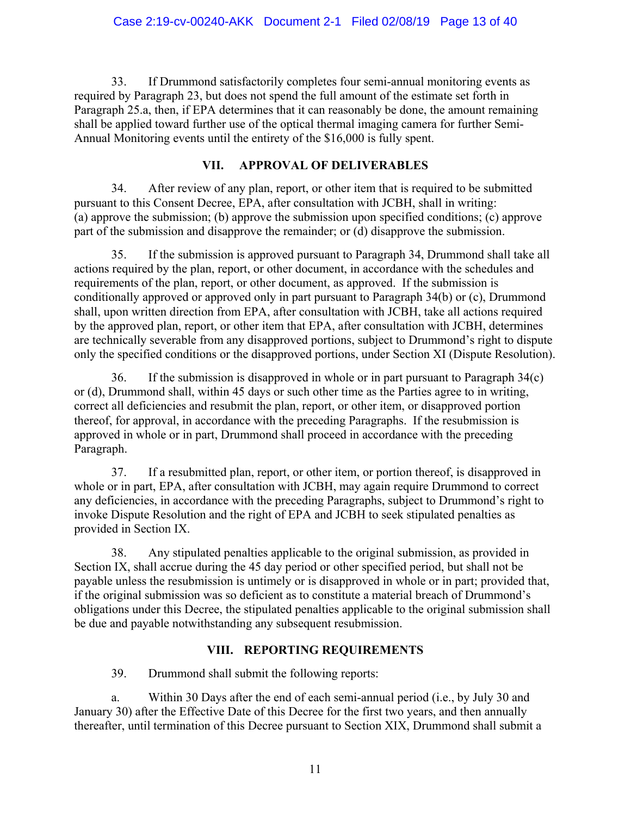33. If Drummond satisfactorily completes four semi-annual monitoring events as required by Paragraph 23, but does not spend the full amount of the estimate set forth in Paragraph 25.a, then, if EPA determines that it can reasonably be done, the amount remaining shall be applied toward further use of the optical thermal imaging camera for further Semi-Annual Monitoring events until the entirety of the \$16,000 is fully spent.

### **VII. APPROVAL OF DELIVERABLES**

34. After review of any plan, report, or other item that is required to be submitted pursuant to this Consent Decree, EPA, after consultation with JCBH, shall in writing: (a) approve the submission; (b) approve the submission upon specified conditions; (c) approve part of the submission and disapprove the remainder; or (d) disapprove the submission.

35. If the submission is approved pursuant to Paragraph 34, Drummond shall take all actions required by the plan, report, or other document, in accordance with the schedules and requirements of the plan, report, or other document, as approved. If the submission is conditionally approved or approved only in part pursuant to Paragraph 34(b) or (c), Drummond shall, upon written direction from EPA, after consultation with JCBH, take all actions required by the approved plan, report, or other item that EPA, after consultation with JCBH, determines are technically severable from any disapproved portions, subject to Drummond's right to dispute only the specified conditions or the disapproved portions, under Section XI (Dispute Resolution).

36. If the submission is disapproved in whole or in part pursuant to Paragraph 34(c) or (d), Drummond shall, within 45 days or such other time as the Parties agree to in writing, correct all deficiencies and resubmit the plan, report, or other item, or disapproved portion thereof, for approval, in accordance with the preceding Paragraphs. If the resubmission is approved in whole or in part, Drummond shall proceed in accordance with the preceding Paragraph.

37. If a resubmitted plan, report, or other item, or portion thereof, is disapproved in whole or in part, EPA, after consultation with JCBH, may again require Drummond to correct any deficiencies, in accordance with the preceding Paragraphs, subject to Drummond's right to invoke Dispute Resolution and the right of EPA and JCBH to seek stipulated penalties as provided in Section IX.

38. Any stipulated penalties applicable to the original submission, as provided in Section IX, shall accrue during the 45 day period or other specified period, but shall not be payable unless the resubmission is untimely or is disapproved in whole or in part; provided that, if the original submission was so deficient as to constitute a material breach of Drummond's obligations under this Decree, the stipulated penalties applicable to the original submission shall be due and payable notwithstanding any subsequent resubmission.

### **VIII. REPORTING REQUIREMENTS**

39. Drummond shall submit the following reports:

a. Within 30 Days after the end of each semi-annual period (i.e., by July 30 and January 30) after the Effective Date of this Decree for the first two years, and then annually thereafter, until termination of this Decree pursuant to Section XIX, Drummond shall submit a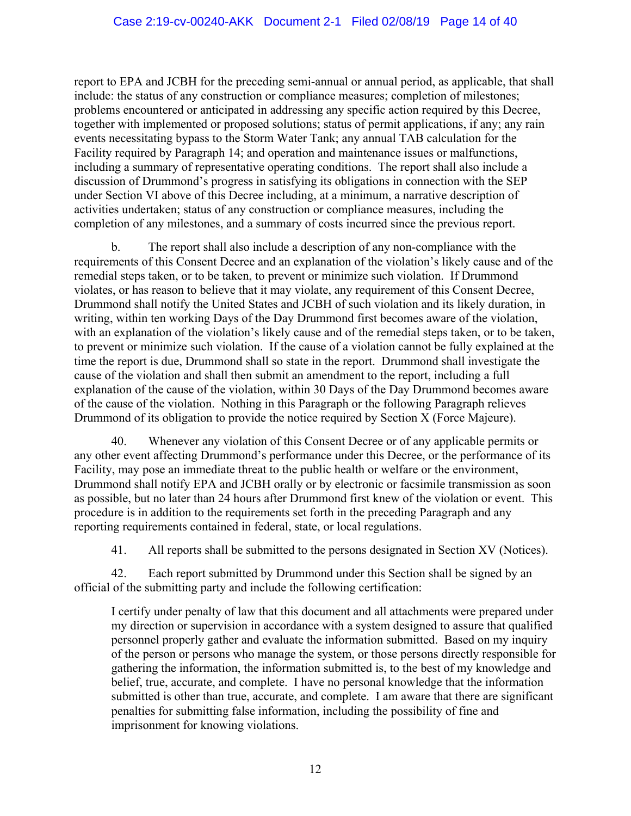report to EPA and JCBH for the preceding semi-annual or annual period, as applicable, that shall include: the status of any construction or compliance measures; completion of milestones; problems encountered or anticipated in addressing any specific action required by this Decree, together with implemented or proposed solutions; status of permit applications, if any; any rain events necessitating bypass to the Storm Water Tank; any annual TAB calculation for the Facility required by Paragraph 14; and operation and maintenance issues or malfunctions, including a summary of representative operating conditions. The report shall also include a discussion of Drummond's progress in satisfying its obligations in connection with the SEP under Section VI above of this Decree including, at a minimum, a narrative description of activities undertaken; status of any construction or compliance measures, including the completion of any milestones, and a summary of costs incurred since the previous report.

b. The report shall also include a description of any non-compliance with the requirements of this Consent Decree and an explanation of the violation's likely cause and of the remedial steps taken, or to be taken, to prevent or minimize such violation. If Drummond violates, or has reason to believe that it may violate, any requirement of this Consent Decree, Drummond shall notify the United States and JCBH of such violation and its likely duration, in writing, within ten working Days of the Day Drummond first becomes aware of the violation, with an explanation of the violation's likely cause and of the remedial steps taken, or to be taken, to prevent or minimize such violation. If the cause of a violation cannot be fully explained at the time the report is due, Drummond shall so state in the report. Drummond shall investigate the cause of the violation and shall then submit an amendment to the report, including a full explanation of the cause of the violation, within 30 Days of the Day Drummond becomes aware of the cause of the violation. Nothing in this Paragraph or the following Paragraph relieves Drummond of its obligation to provide the notice required by Section X (Force Majeure).

40. Whenever any violation of this Consent Decree or of any applicable permits or any other event affecting Drummond's performance under this Decree, or the performance of its Facility, may pose an immediate threat to the public health or welfare or the environment, Drummond shall notify EPA and JCBH orally or by electronic or facsimile transmission as soon as possible, but no later than 24 hours after Drummond first knew of the violation or event. This procedure is in addition to the requirements set forth in the preceding Paragraph and any reporting requirements contained in federal, state, or local regulations.

41. All reports shall be submitted to the persons designated in Section XV (Notices).

42. Each report submitted by Drummond under this Section shall be signed by an official of the submitting party and include the following certification:

I certify under penalty of law that this document and all attachments were prepared under my direction or supervision in accordance with a system designed to assure that qualified personnel properly gather and evaluate the information submitted. Based on my inquiry of the person or persons who manage the system, or those persons directly responsible for gathering the information, the information submitted is, to the best of my knowledge and belief, true, accurate, and complete. I have no personal knowledge that the information submitted is other than true, accurate, and complete. I am aware that there are significant penalties for submitting false information, including the possibility of fine and imprisonment for knowing violations.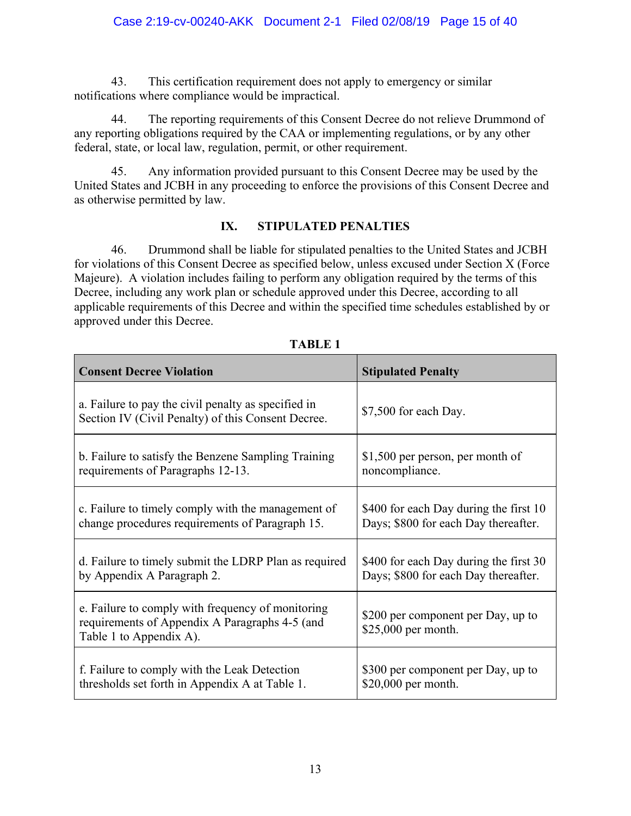43. This certification requirement does not apply to emergency or similar notifications where compliance would be impractical.

44. The reporting requirements of this Consent Decree do not relieve Drummond of any reporting obligations required by the CAA or implementing regulations, or by any other federal, state, or local law, regulation, permit, or other requirement.

45. Any information provided pursuant to this Consent Decree may be used by the United States and JCBH in any proceeding to enforce the provisions of this Consent Decree and as otherwise permitted by law.

#### **IX. STIPULATED PENALTIES**

46. Drummond shall be liable for stipulated penalties to the United States and JCBH for violations of this Consent Decree as specified below, unless excused under Section X (Force Majeure). A violation includes failing to perform any obligation required by the terms of this Decree, including any work plan or schedule approved under this Decree, according to all applicable requirements of this Decree and within the specified time schedules established by or approved under this Decree.

| <b>Consent Decree Violation</b>                                                                                                | <b>Stipulated Penalty</b>                                 |
|--------------------------------------------------------------------------------------------------------------------------------|-----------------------------------------------------------|
| a. Failure to pay the civil penalty as specified in<br>Section IV (Civil Penalty) of this Consent Decree.                      | \$7,500 for each Day.                                     |
| b. Failure to satisfy the Benzene Sampling Training                                                                            | \$1,500 per person, per month of                          |
| requirements of Paragraphs 12-13.                                                                                              | noncompliance.                                            |
| c. Failure to timely comply with the management of                                                                             | \$400 for each Day during the first 10                    |
| change procedures requirements of Paragraph 15.                                                                                | Days; \$800 for each Day thereafter.                      |
| d. Failure to timely submit the LDRP Plan as required                                                                          | \$400 for each Day during the first 30                    |
| by Appendix A Paragraph 2.                                                                                                     | Days; \$800 for each Day thereafter.                      |
| e. Failure to comply with frequency of monitoring<br>requirements of Appendix A Paragraphs 4-5 (and<br>Table 1 to Appendix A). | \$200 per component per Day, up to<br>\$25,000 per month. |
| f. Failure to comply with the Leak Detection                                                                                   | \$300 per component per Day, up to                        |
| thresholds set forth in Appendix A at Table 1.                                                                                 | \$20,000 per month.                                       |

**TABLE 1**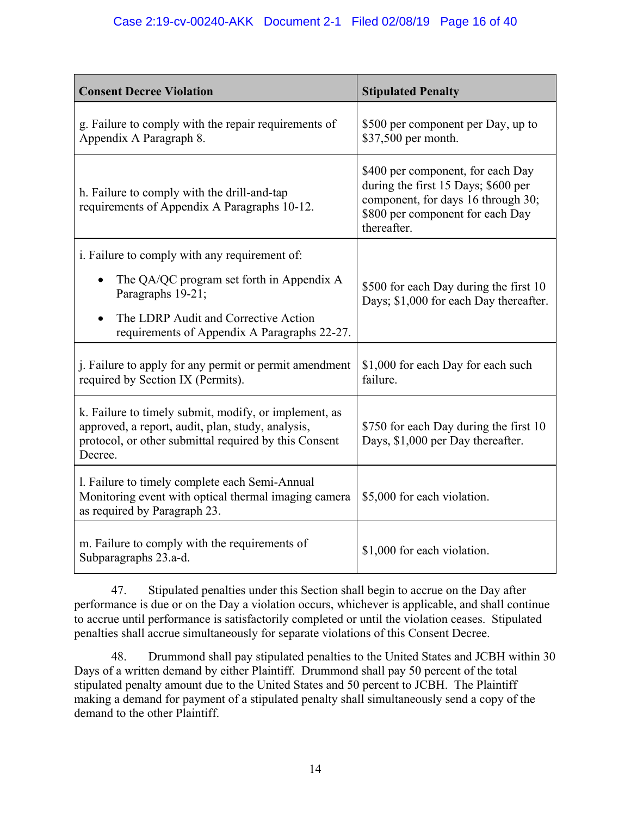| <b>Consent Decree Violation</b>                                                                                                                                                | <b>Stipulated Penalty</b>                                                                                                                                         |  |
|--------------------------------------------------------------------------------------------------------------------------------------------------------------------------------|-------------------------------------------------------------------------------------------------------------------------------------------------------------------|--|
| g. Failure to comply with the repair requirements of<br>Appendix A Paragraph 8.                                                                                                | \$500 per component per Day, up to<br>\$37,500 per month.                                                                                                         |  |
| h. Failure to comply with the drill-and-tap<br>requirements of Appendix A Paragraphs 10-12.                                                                                    | \$400 per component, for each Day<br>during the first 15 Days; \$600 per<br>component, for days 16 through 30;<br>\$800 per component for each Day<br>thereafter. |  |
| i. Failure to comply with any requirement of:                                                                                                                                  |                                                                                                                                                                   |  |
| The QA/QC program set forth in Appendix A<br>$\bullet$<br>Paragraphs 19-21;                                                                                                    | \$500 for each Day during the first 10<br>Days; \$1,000 for each Day thereafter.                                                                                  |  |
| The LDRP Audit and Corrective Action<br>requirements of Appendix A Paragraphs 22-27.                                                                                           |                                                                                                                                                                   |  |
| j. Failure to apply for any permit or permit amendment<br>required by Section IX (Permits).                                                                                    | \$1,000 for each Day for each such<br>failure.                                                                                                                    |  |
| k. Failure to timely submit, modify, or implement, as<br>approved, a report, audit, plan, study, analysis,<br>protocol, or other submittal required by this Consent<br>Decree. | \$750 for each Day during the first 10<br>Days, \$1,000 per Day thereafter.                                                                                       |  |
| l. Failure to timely complete each Semi-Annual<br>Monitoring event with optical thermal imaging camera<br>as required by Paragraph 23.                                         | \$5,000 for each violation.                                                                                                                                       |  |
| m. Failure to comply with the requirements of<br>Subparagraphs 23.a-d.                                                                                                         | \$1,000 for each violation.                                                                                                                                       |  |

47. Stipulated penalties under this Section shall begin to accrue on the Day after performance is due or on the Day a violation occurs, whichever is applicable, and shall continue to accrue until performance is satisfactorily completed or until the violation ceases. Stipulated penalties shall accrue simultaneously for separate violations of this Consent Decree.

48. Drummond shall pay stipulated penalties to the United States and JCBH within 30 Days of a written demand by either Plaintiff. Drummond shall pay 50 percent of the total stipulated penalty amount due to the United States and 50 percent to JCBH. The Plaintiff making a demand for payment of a stipulated penalty shall simultaneously send a copy of the demand to the other Plaintiff.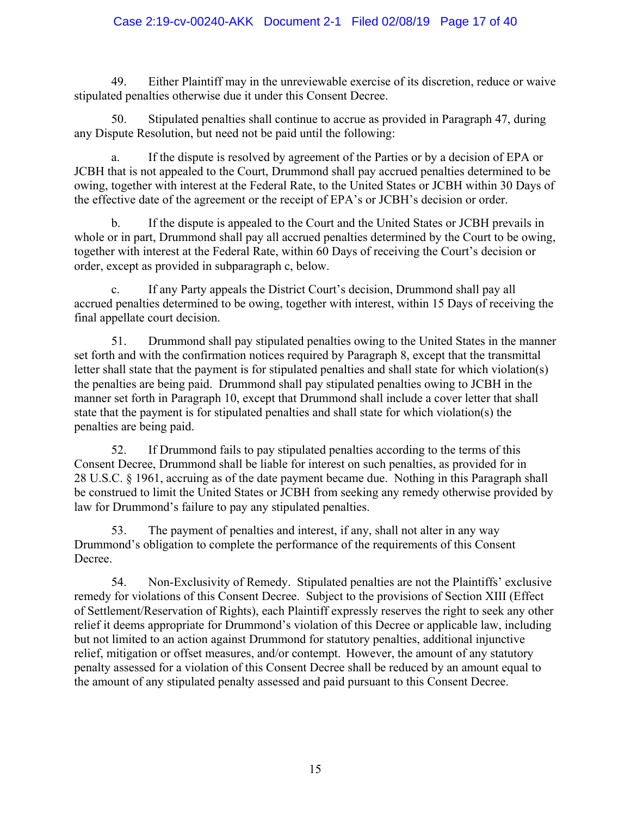#### Case 2:19-cv-00240-AKK Document 2-1 Filed 02/08/19 Page 17 of 40

49. Either Plaintiff may in the unreviewable exercise of its discretion, reduce or waive stipulated penalties otherwise due it under this Consent Decree.

50. Stipulated penalties shall continue to accrue as provided in Paragraph 47, during any Dispute Resolution, but need not be paid until the following:

a. If the dispute is resolved by agreement of the Parties or by a decision of EPA or JCBH that is not appealed to the Court, Drummond shall pay accrued penalties determined to be owing, together with interest at the Federal Rate, to the United States or JCBH within 30 Days of the effective date of the agreement or the receipt of EPA's or JCBH's decision or order.

b. If the dispute is appealed to the Court and the United States or JCBH prevails in whole or in part, Drummond shall pay all accrued penalties determined by the Court to be owing, together with interest at the Federal Rate, within 60 Days of receiving the Court's decision or order, except as provided in subparagraph c, below.

c. If any Party appeals the District Court's decision, Drummond shall pay all accrued penalties determined to be owing, together with interest, within 15 Days of receiving the final appellate court decision.

51. Drummond shall pay stipulated penalties owing to the United States in the manner set forth and with the confirmation notices required by Paragraph 8, except that the transmittal letter shall state that the payment is for stipulated penalties and shall state for which violation(s) the penalties are being paid. Drummond shall pay stipulated penalties owing to JCBH in the manner set forth in Paragraph 10, except that Drummond shall include a cover letter that shall state that the payment is for stipulated penalties and shall state for which violation(s) the penalties are being paid.

52. If Drummond fails to pay stipulated penalties according to the terms of this Consent Decree, Drummond shall be liable for interest on such penalties, as provided for in 28 U.S.C. § 1961, accruing as of the date payment became due. Nothing in this Paragraph shall be construed to limit the United States or JCBH from seeking any remedy otherwise provided by law for Drummond's failure to pay any stipulated penalties.

53. The payment of penalties and interest, if any, shall not alter in any way Drummond's obligation to complete the performance of the requirements of this Consent Decree.

54. Non-Exclusivity of Remedy. Stipulated penalties are not the Plaintiffs' exclusive remedy for violations of this Consent Decree. Subject to the provisions of Section XIII (Effect of Settlement/Reservation of Rights), each Plaintiff expressly reserves the right to seek any other relief it deems appropriate for Drummond's violation of this Decree or applicable law, including but not limited to an action against Drummond for statutory penalties, additional injunctive relief, mitigation or offset measures, and/or contempt. However, the amount of any statutory penalty assessed for a violation of this Consent Decree shall be reduced by an amount equal to the amount of any stipulated penalty assessed and paid pursuant to this Consent Decree.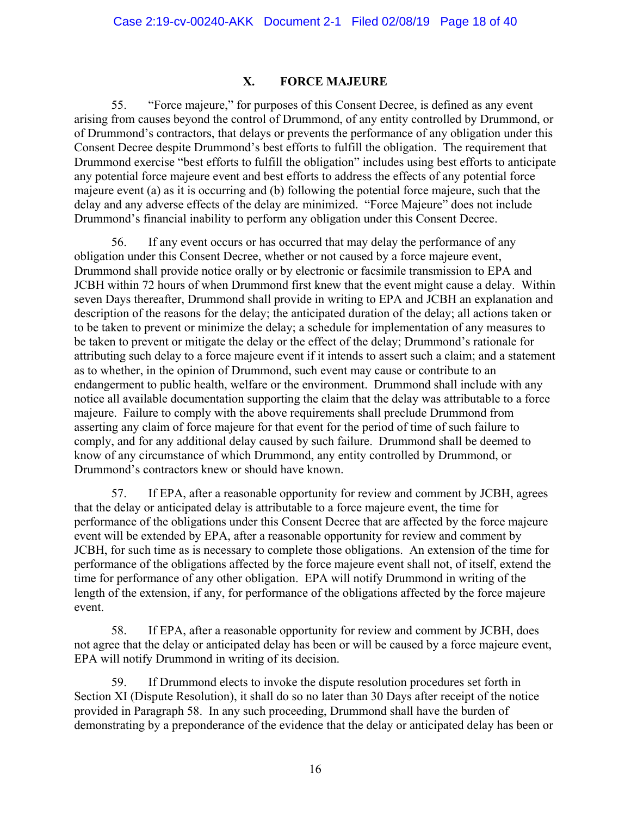#### **X. FORCE MAJEURE**

55. "Force majeure," for purposes of this Consent Decree, is defined as any event arising from causes beyond the control of Drummond, of any entity controlled by Drummond, or of Drummond's contractors, that delays or prevents the performance of any obligation under this Consent Decree despite Drummond's best efforts to fulfill the obligation. The requirement that Drummond exercise "best efforts to fulfill the obligation" includes using best efforts to anticipate any potential force majeure event and best efforts to address the effects of any potential force majeure event (a) as it is occurring and (b) following the potential force majeure, such that the delay and any adverse effects of the delay are minimized. "Force Majeure" does not include Drummond's financial inability to perform any obligation under this Consent Decree.

56. If any event occurs or has occurred that may delay the performance of any obligation under this Consent Decree, whether or not caused by a force majeure event, Drummond shall provide notice orally or by electronic or facsimile transmission to EPA and JCBH within 72 hours of when Drummond first knew that the event might cause a delay. Within seven Days thereafter, Drummond shall provide in writing to EPA and JCBH an explanation and description of the reasons for the delay; the anticipated duration of the delay; all actions taken or to be taken to prevent or minimize the delay; a schedule for implementation of any measures to be taken to prevent or mitigate the delay or the effect of the delay; Drummond's rationale for attributing such delay to a force majeure event if it intends to assert such a claim; and a statement as to whether, in the opinion of Drummond, such event may cause or contribute to an endangerment to public health, welfare or the environment. Drummond shall include with any notice all available documentation supporting the claim that the delay was attributable to a force majeure. Failure to comply with the above requirements shall preclude Drummond from asserting any claim of force majeure for that event for the period of time of such failure to comply, and for any additional delay caused by such failure. Drummond shall be deemed to know of any circumstance of which Drummond, any entity controlled by Drummond, or Drummond's contractors knew or should have known.

57. If EPA, after a reasonable opportunity for review and comment by JCBH, agrees that the delay or anticipated delay is attributable to a force majeure event, the time for performance of the obligations under this Consent Decree that are affected by the force majeure event will be extended by EPA, after a reasonable opportunity for review and comment by JCBH, for such time as is necessary to complete those obligations. An extension of the time for performance of the obligations affected by the force majeure event shall not, of itself, extend the time for performance of any other obligation. EPA will notify Drummond in writing of the length of the extension, if any, for performance of the obligations affected by the force majeure event.

58. If EPA, after a reasonable opportunity for review and comment by JCBH, does not agree that the delay or anticipated delay has been or will be caused by a force majeure event, EPA will notify Drummond in writing of its decision.

59. If Drummond elects to invoke the dispute resolution procedures set forth in Section XI (Dispute Resolution), it shall do so no later than 30 Days after receipt of the notice provided in Paragraph 58. In any such proceeding, Drummond shall have the burden of demonstrating by a preponderance of the evidence that the delay or anticipated delay has been or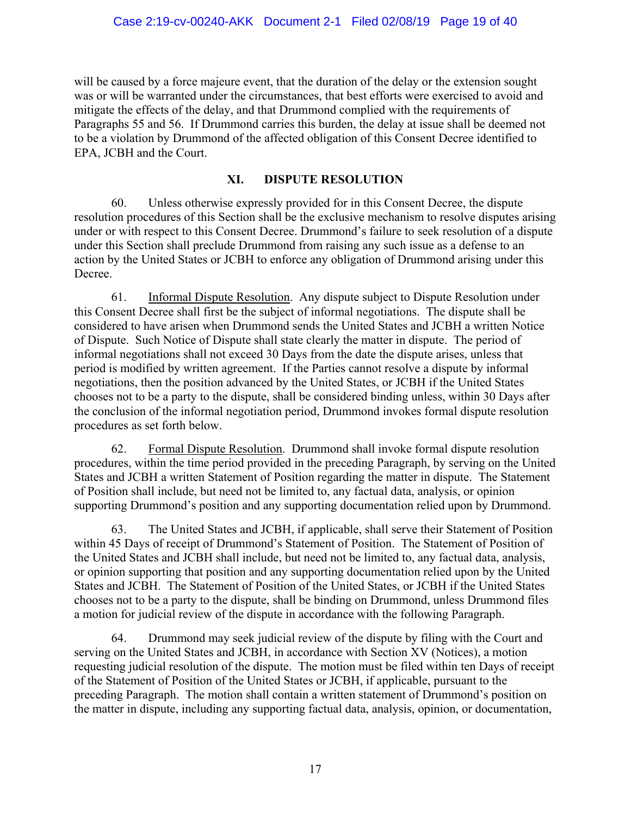will be caused by a force majeure event, that the duration of the delay or the extension sought was or will be warranted under the circumstances, that best efforts were exercised to avoid and mitigate the effects of the delay, and that Drummond complied with the requirements of Paragraphs 55 and 56. If Drummond carries this burden, the delay at issue shall be deemed not to be a violation by Drummond of the affected obligation of this Consent Decree identified to EPA, JCBH and the Court.

### **XI. DISPUTE RESOLUTION**

60. Unless otherwise expressly provided for in this Consent Decree, the dispute resolution procedures of this Section shall be the exclusive mechanism to resolve disputes arising under or with respect to this Consent Decree. Drummond's failure to seek resolution of a dispute under this Section shall preclude Drummond from raising any such issue as a defense to an action by the United States or JCBH to enforce any obligation of Drummond arising under this Decree.

61. Informal Dispute Resolution. Any dispute subject to Dispute Resolution under this Consent Decree shall first be the subject of informal negotiations. The dispute shall be considered to have arisen when Drummond sends the United States and JCBH a written Notice of Dispute. Such Notice of Dispute shall state clearly the matter in dispute. The period of informal negotiations shall not exceed 30 Days from the date the dispute arises, unless that period is modified by written agreement. If the Parties cannot resolve a dispute by informal negotiations, then the position advanced by the United States, or JCBH if the United States chooses not to be a party to the dispute, shall be considered binding unless, within 30 Days after the conclusion of the informal negotiation period, Drummond invokes formal dispute resolution procedures as set forth below.

62. Formal Dispute Resolution. Drummond shall invoke formal dispute resolution procedures, within the time period provided in the preceding Paragraph, by serving on the United States and JCBH a written Statement of Position regarding the matter in dispute. The Statement of Position shall include, but need not be limited to, any factual data, analysis, or opinion supporting Drummond's position and any supporting documentation relied upon by Drummond.

63. The United States and JCBH, if applicable, shall serve their Statement of Position within 45 Days of receipt of Drummond's Statement of Position. The Statement of Position of the United States and JCBH shall include, but need not be limited to, any factual data, analysis, or opinion supporting that position and any supporting documentation relied upon by the United States and JCBH. The Statement of Position of the United States, or JCBH if the United States chooses not to be a party to the dispute, shall be binding on Drummond, unless Drummond files a motion for judicial review of the dispute in accordance with the following Paragraph.

64. Drummond may seek judicial review of the dispute by filing with the Court and serving on the United States and JCBH, in accordance with Section XV (Notices), a motion requesting judicial resolution of the dispute. The motion must be filed within ten Days of receipt of the Statement of Position of the United States or JCBH, if applicable, pursuant to the preceding Paragraph. The motion shall contain a written statement of Drummond's position on the matter in dispute, including any supporting factual data, analysis, opinion, or documentation,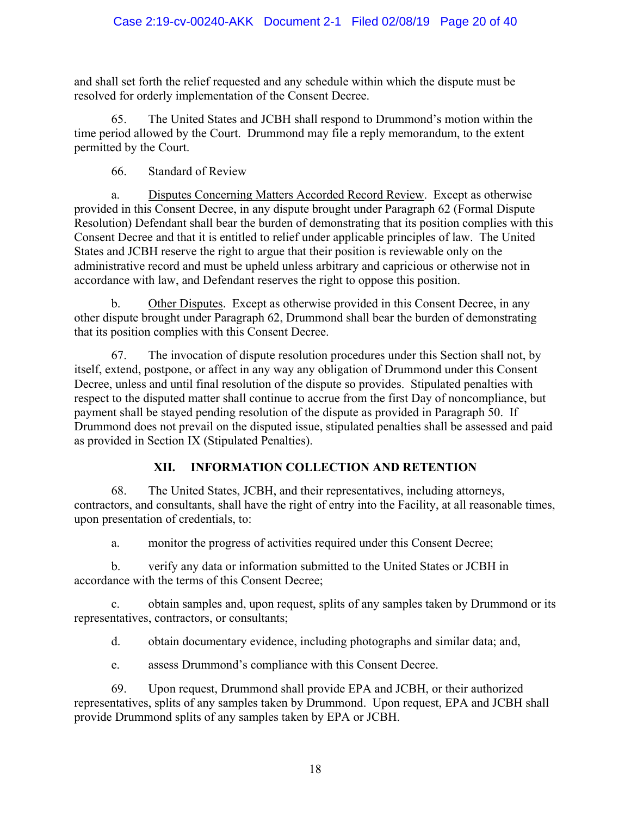and shall set forth the relief requested and any schedule within which the dispute must be resolved for orderly implementation of the Consent Decree.

65. The United States and JCBH shall respond to Drummond's motion within the time period allowed by the Court. Drummond may file a reply memorandum, to the extent permitted by the Court.

66. Standard of Review

a. Disputes Concerning Matters Accorded Record Review. Except as otherwise provided in this Consent Decree, in any dispute brought under Paragraph 62 (Formal Dispute Resolution) Defendant shall bear the burden of demonstrating that its position complies with this Consent Decree and that it is entitled to relief under applicable principles of law. The United States and JCBH reserve the right to argue that their position is reviewable only on the administrative record and must be upheld unless arbitrary and capricious or otherwise not in accordance with law, and Defendant reserves the right to oppose this position.

b. Other Disputes. Except as otherwise provided in this Consent Decree, in any other dispute brought under Paragraph 62, Drummond shall bear the burden of demonstrating that its position complies with this Consent Decree.

67. The invocation of dispute resolution procedures under this Section shall not, by itself, extend, postpone, or affect in any way any obligation of Drummond under this Consent Decree, unless and until final resolution of the dispute so provides. Stipulated penalties with respect to the disputed matter shall continue to accrue from the first Day of noncompliance, but payment shall be stayed pending resolution of the dispute as provided in Paragraph 50. If Drummond does not prevail on the disputed issue, stipulated penalties shall be assessed and paid as provided in Section IX (Stipulated Penalties).

# **XII. INFORMATION COLLECTION AND RETENTION**

68. The United States, JCBH, and their representatives, including attorneys, contractors, and consultants, shall have the right of entry into the Facility, at all reasonable times, upon presentation of credentials, to:

a. monitor the progress of activities required under this Consent Decree;

b. verify any data or information submitted to the United States or JCBH in accordance with the terms of this Consent Decree;

c. obtain samples and, upon request, splits of any samples taken by Drummond or its representatives, contractors, or consultants;

d. obtain documentary evidence, including photographs and similar data; and,

e. assess Drummond's compliance with this Consent Decree.

69. Upon request, Drummond shall provide EPA and JCBH, or their authorized representatives, splits of any samples taken by Drummond. Upon request, EPA and JCBH shall provide Drummond splits of any samples taken by EPA or JCBH.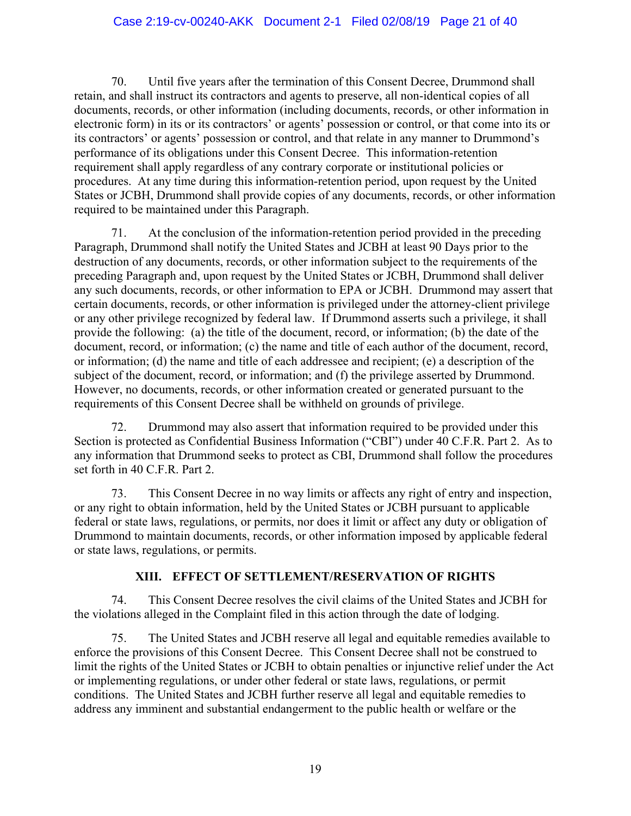#### Case 2:19-cv-00240-AKK Document 2-1 Filed 02/08/19 Page 21 of 40

70. Until five years after the termination of this Consent Decree, Drummond shall retain, and shall instruct its contractors and agents to preserve, all non-identical copies of all documents, records, or other information (including documents, records, or other information in electronic form) in its or its contractors' or agents' possession or control, or that come into its or its contractors' or agents' possession or control, and that relate in any manner to Drummond's performance of its obligations under this Consent Decree. This information-retention requirement shall apply regardless of any contrary corporate or institutional policies or procedures. At any time during this information-retention period, upon request by the United States or JCBH, Drummond shall provide copies of any documents, records, or other information required to be maintained under this Paragraph.

71. At the conclusion of the information-retention period provided in the preceding Paragraph, Drummond shall notify the United States and JCBH at least 90 Days prior to the destruction of any documents, records, or other information subject to the requirements of the preceding Paragraph and, upon request by the United States or JCBH, Drummond shall deliver any such documents, records, or other information to EPA or JCBH. Drummond may assert that certain documents, records, or other information is privileged under the attorney-client privilege or any other privilege recognized by federal law. If Drummond asserts such a privilege, it shall provide the following: (a) the title of the document, record, or information; (b) the date of the document, record, or information; (c) the name and title of each author of the document, record, or information; (d) the name and title of each addressee and recipient; (e) a description of the subject of the document, record, or information; and (f) the privilege asserted by Drummond. However, no documents, records, or other information created or generated pursuant to the requirements of this Consent Decree shall be withheld on grounds of privilege.

72. Drummond may also assert that information required to be provided under this Section is protected as Confidential Business Information ("CBI") under 40 C.F.R. Part 2. As to any information that Drummond seeks to protect as CBI, Drummond shall follow the procedures set forth in 40 C.F.R. Part 2.

73. This Consent Decree in no way limits or affects any right of entry and inspection, or any right to obtain information, held by the United States or JCBH pursuant to applicable federal or state laws, regulations, or permits, nor does it limit or affect any duty or obligation of Drummond to maintain documents, records, or other information imposed by applicable federal or state laws, regulations, or permits.

#### **XIII. EFFECT OF SETTLEMENT/RESERVATION OF RIGHTS**

74. This Consent Decree resolves the civil claims of the United States and JCBH for the violations alleged in the Complaint filed in this action through the date of lodging.

75. The United States and JCBH reserve all legal and equitable remedies available to enforce the provisions of this Consent Decree. This Consent Decree shall not be construed to limit the rights of the United States or JCBH to obtain penalties or injunctive relief under the Act or implementing regulations, or under other federal or state laws, regulations, or permit conditions. The United States and JCBH further reserve all legal and equitable remedies to address any imminent and substantial endangerment to the public health or welfare or the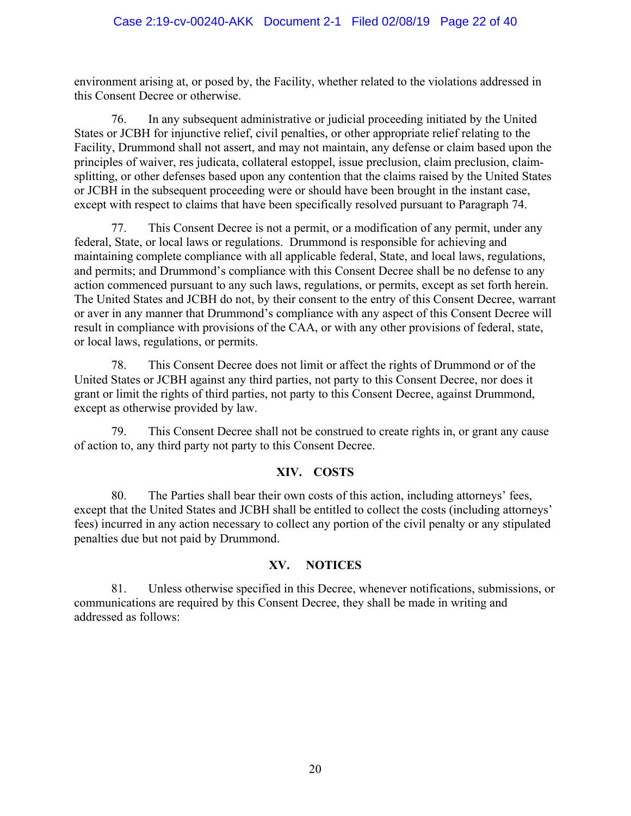environment arising at, or posed by, the Facility, whether related to the violations addressed in this Consent Decree or otherwise.

76. In any subsequent administrative or judicial proceeding initiated by the United States or JCBH for injunctive relief, civil penalties, or other appropriate relief relating to the Facility, Drummond shall not assert, and may not maintain, any defense or claim based upon the principles of waiver, res judicata, collateral estoppel, issue preclusion, claim preclusion, claimsplitting, or other defenses based upon any contention that the claims raised by the United States or JCBH in the subsequent proceeding were or should have been brought in the instant case, except with respect to claims that have been specifically resolved pursuant to Paragraph 74.

77. This Consent Decree is not a permit, or a modification of any permit, under any federal, State, or local laws or regulations. Drummond is responsible for achieving and maintaining complete compliance with all applicable federal, State, and local laws, regulations, and permits; and Drummond's compliance with this Consent Decree shall be no defense to any action commenced pursuant to any such laws, regulations, or permits, except as set forth herein. The United States and JCBH do not, by their consent to the entry of this Consent Decree, warrant or aver in any manner that Drummond's compliance with any aspect of this Consent Decree will result in compliance with provisions of the CAA, or with any other provisions of federal, state, or local laws, regulations, or permits.

78. This Consent Decree does not limit or affect the rights of Drummond or of the United States or JCBH against any third parties, not party to this Consent Decree, nor does it grant or limit the rights of third parties, not party to this Consent Decree, against Drummond, except as otherwise provided by law.

79. This Consent Decree shall not be construed to create rights in, or grant any cause of action to, any third party not party to this Consent Decree.

### **XIV. COSTS**

80. The Parties shall bear their own costs of this action, including attorneys' fees, except that the United States and JCBH shall be entitled to collect the costs (including attorneys' fees) incurred in any action necessary to collect any portion of the civil penalty or any stipulated penalties due but not paid by Drummond.

#### **XV. NOTICES**

81. Unless otherwise specified in this Decree, whenever notifications, submissions, or communications are required by this Consent Decree, they shall be made in writing and addressed as follows: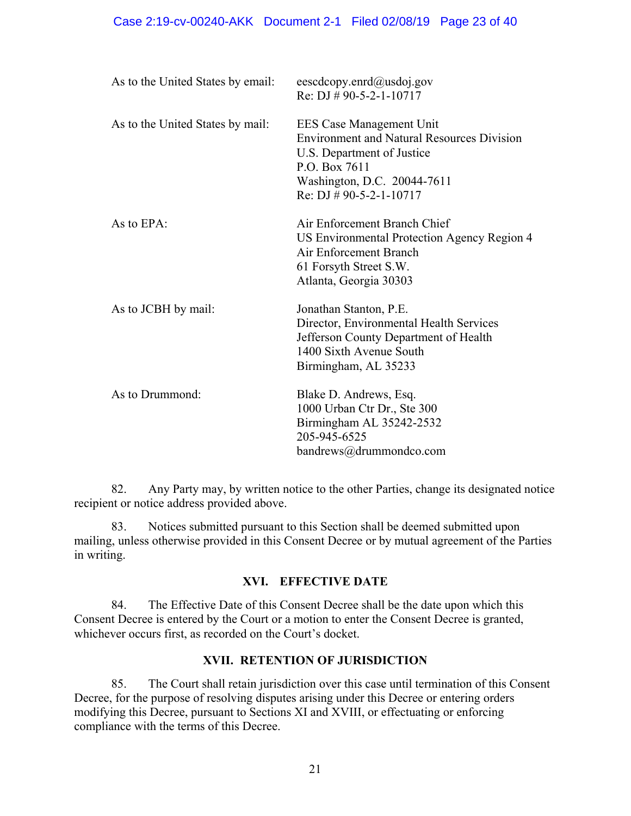| As to the United States by email: | eescdcopy.enrd@usdoj.gov<br>Re: DJ # 90-5-2-1-10717                                                                                                                                       |
|-----------------------------------|-------------------------------------------------------------------------------------------------------------------------------------------------------------------------------------------|
| As to the United States by mail:  | EES Case Management Unit<br><b>Environment and Natural Resources Division</b><br>U.S. Department of Justice<br>P.O. Box 7611<br>Washington, D.C. 20044-7611<br>Re: DJ $\#$ 90-5-2-1-10717 |
| As to EPA:                        | Air Enforcement Branch Chief<br>US Environmental Protection Agency Region 4<br>Air Enforcement Branch<br>61 Forsyth Street S.W.<br>Atlanta, Georgia 30303                                 |
| As to JCBH by mail:               | Jonathan Stanton, P.E.<br>Director, Environmental Health Services<br>Jefferson County Department of Health<br>1400 Sixth Avenue South<br>Birmingham, AL 35233                             |
| As to Drummond:                   | Blake D. Andrews, Esq.<br>1000 Urban Ctr Dr., Ste 300<br>Birmingham AL 35242-2532<br>205-945-6525<br>bandrews@drummondco.com                                                              |

82. Any Party may, by written notice to the other Parties, change its designated notice recipient or notice address provided above.

83. Notices submitted pursuant to this Section shall be deemed submitted upon mailing, unless otherwise provided in this Consent Decree or by mutual agreement of the Parties in writing.

#### **XVI. EFFECTIVE DATE**

84. The Effective Date of this Consent Decree shall be the date upon which this Consent Decree is entered by the Court or a motion to enter the Consent Decree is granted, whichever occurs first, as recorded on the Court's docket.

#### **XVII. RETENTION OF JURISDICTION**

85. The Court shall retain jurisdiction over this case until termination of this Consent Decree, for the purpose of resolving disputes arising under this Decree or entering orders modifying this Decree, pursuant to Sections XI and XVIII, or effectuating or enforcing compliance with the terms of this Decree.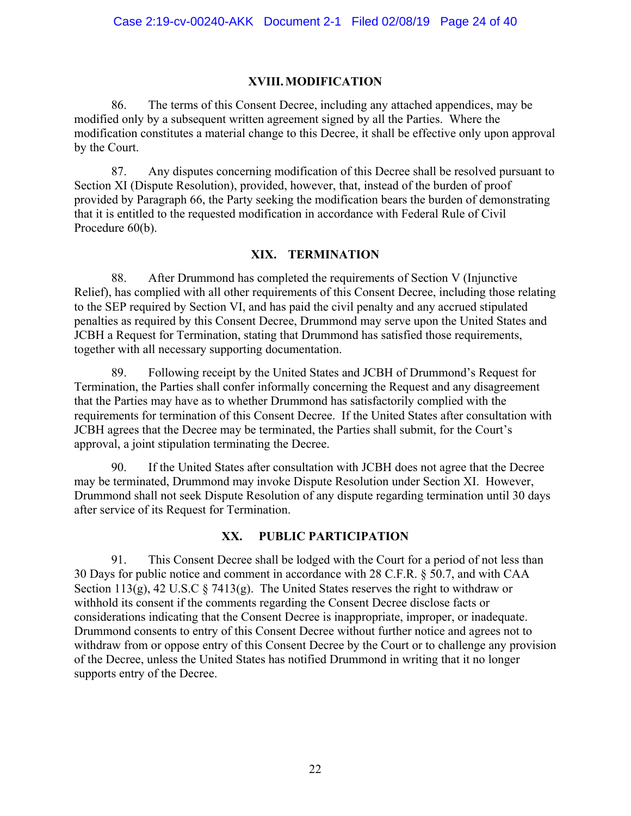#### **XVIII.MODIFICATION**

86. The terms of this Consent Decree, including any attached appendices, may be modified only by a subsequent written agreement signed by all the Parties. Where the modification constitutes a material change to this Decree, it shall be effective only upon approval by the Court.

87. Any disputes concerning modification of this Decree shall be resolved pursuant to Section XI (Dispute Resolution), provided, however, that, instead of the burden of proof provided by Paragraph 66, the Party seeking the modification bears the burden of demonstrating that it is entitled to the requested modification in accordance with Federal Rule of Civil Procedure 60(b).

#### **XIX. TERMINATION**

88. After Drummond has completed the requirements of Section V (Injunctive Relief), has complied with all other requirements of this Consent Decree, including those relating to the SEP required by Section VI, and has paid the civil penalty and any accrued stipulated penalties as required by this Consent Decree, Drummond may serve upon the United States and JCBH a Request for Termination, stating that Drummond has satisfied those requirements, together with all necessary supporting documentation.

89. Following receipt by the United States and JCBH of Drummond's Request for Termination, the Parties shall confer informally concerning the Request and any disagreement that the Parties may have as to whether Drummond has satisfactorily complied with the requirements for termination of this Consent Decree. If the United States after consultation with JCBH agrees that the Decree may be terminated, the Parties shall submit, for the Court's approval, a joint stipulation terminating the Decree.

90. If the United States after consultation with JCBH does not agree that the Decree may be terminated, Drummond may invoke Dispute Resolution under Section XI. However, Drummond shall not seek Dispute Resolution of any dispute regarding termination until 30 days after service of its Request for Termination.

#### **XX. PUBLIC PARTICIPATION**

91. This Consent Decree shall be lodged with the Court for a period of not less than 30 Days for public notice and comment in accordance with 28 C.F.R. § 50.7, and with CAA Section 113(g), 42 U.S.C  $\S$  7413(g). The United States reserves the right to withdraw or withhold its consent if the comments regarding the Consent Decree disclose facts or considerations indicating that the Consent Decree is inappropriate, improper, or inadequate. Drummond consents to entry of this Consent Decree without further notice and agrees not to withdraw from or oppose entry of this Consent Decree by the Court or to challenge any provision of the Decree, unless the United States has notified Drummond in writing that it no longer supports entry of the Decree.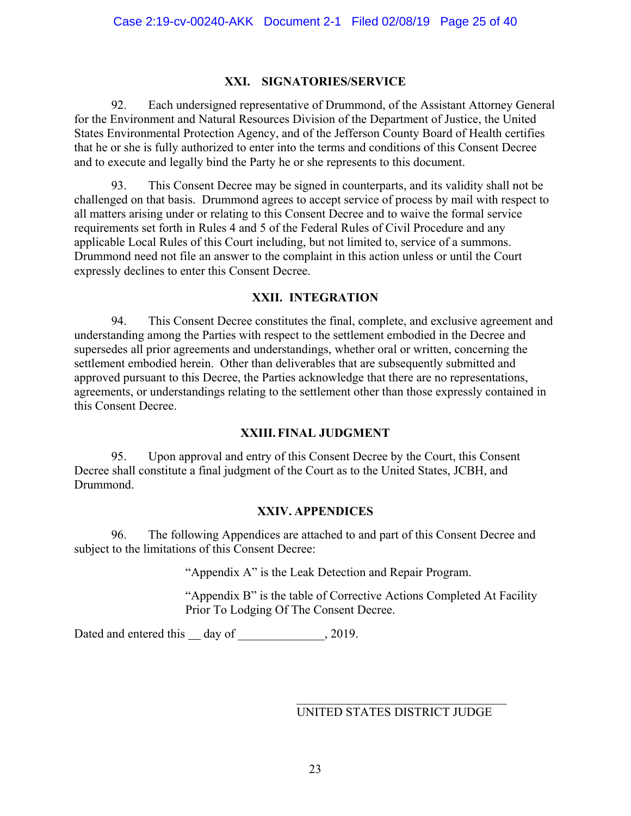#### **XXI. SIGNATORIES/SERVICE**

92. Each undersigned representative of Drummond, of the Assistant Attorney General for the Environment and Natural Resources Division of the Department of Justice, the United States Environmental Protection Agency, and of the Jefferson County Board of Health certifies that he or she is fully authorized to enter into the terms and conditions of this Consent Decree and to execute and legally bind the Party he or she represents to this document.

93. This Consent Decree may be signed in counterparts, and its validity shall not be challenged on that basis. Drummond agrees to accept service of process by mail with respect to all matters arising under or relating to this Consent Decree and to waive the formal service requirements set forth in Rules 4 and 5 of the Federal Rules of Civil Procedure and any applicable Local Rules of this Court including, but not limited to, service of a summons. Drummond need not file an answer to the complaint in this action unless or until the Court expressly declines to enter this Consent Decree.

#### **XXII. INTEGRATION**

94. This Consent Decree constitutes the final, complete, and exclusive agreement and understanding among the Parties with respect to the settlement embodied in the Decree and supersedes all prior agreements and understandings, whether oral or written, concerning the settlement embodied herein. Other than deliverables that are subsequently submitted and approved pursuant to this Decree, the Parties acknowledge that there are no representations, agreements, or understandings relating to the settlement other than those expressly contained in this Consent Decree.

#### **XXIII.FINAL JUDGMENT**

95. Upon approval and entry of this Consent Decree by the Court, this Consent Decree shall constitute a final judgment of the Court as to the United States, JCBH, and Drummond.

#### **XXIV. APPENDICES**

96. The following Appendices are attached to and part of this Consent Decree and subject to the limitations of this Consent Decree:

"Appendix A" is the Leak Detection and Repair Program.

"Appendix B" is the table of Corrective Actions Completed At Facility Prior To Lodging Of The Consent Decree.

Dated and entered this \_\_ day of \_\_\_\_\_\_\_\_\_\_\_\_, 2019.

UNITED STATES DISTRICT JUDGE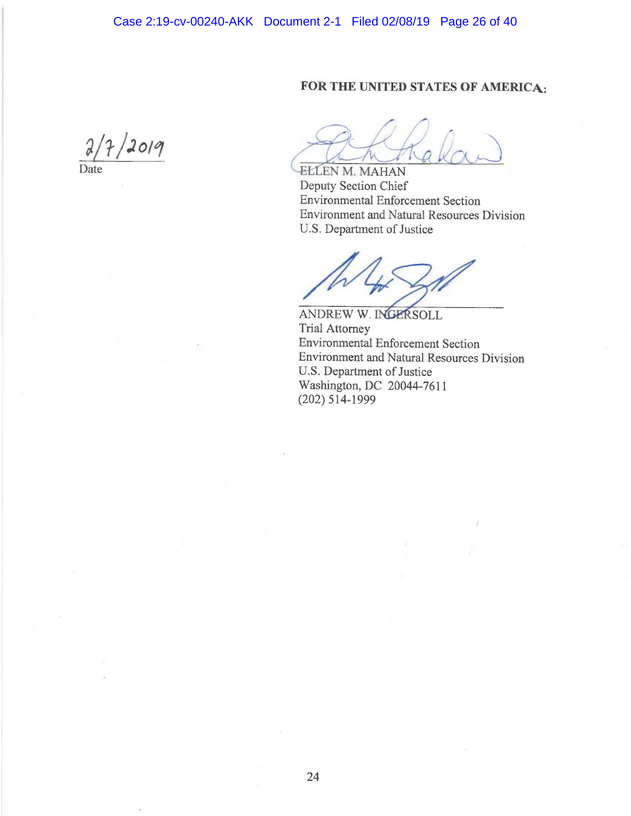### FOR THE UNITED STATES OF AMERICA;

 $\alpha$ 2019

D ate

i Λk  $\sim$   $\sim$ 

ELLEN M. MAHAN <sup>D</sup>eputy Section Chief Environmental Enforcement Section Environment and Natural Resources Division U.S. Department of Justice

DREW W. I**NGERSO**LL <sup>T</sup>rial Attorney Environmental Enforcement Section <sup>E</sup>nvironment and Natural Resources Division U.S. Department of Justice Washington, DC 20044-7611 (202) 514-1999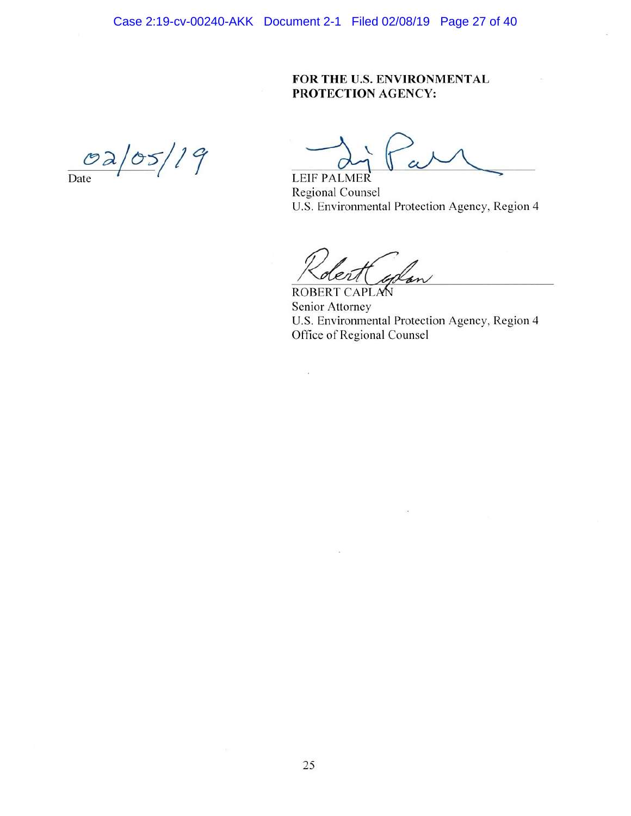#### FOR THE U.S. ENVIRONMENTAL PROTECTION AGENCY:

 $02/05/19$  $\overline{Date}$ 

LEIF PALMER **Regional Counsel** U.S. Environmental Protection Agency, Region 4

ROBERT CAPLA Senior Attorney U.S. Environmental Protection Agency, Region 4 Office of Regional Counsel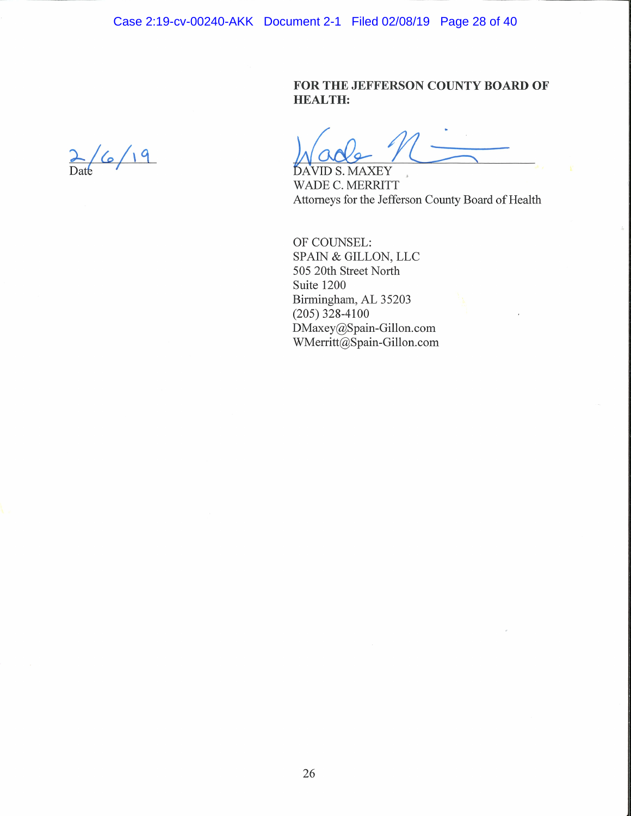Case 2:19-cv-00240-AKK Document 2-1 Filed 02/08/19 Page 28 of 40

FOR THE JEFFERSON COUNTY BOARD OF **HEALTH:** 

 $2/6/19$ 

DAVID S. MAXEY WADE C. MERRITT Attorneys for the Jefferson County Board of Health

 $\frac{1}{\sqrt{2}}$ 

OF COUNSEL: SPAIN & GILLON, LLC 505 20th Street North Suite 1200 Birmingham, AL 35203  $(205)$  328-4100 DMaxey@Spain-Gillon.com WMerritt@Spain-Gillon.com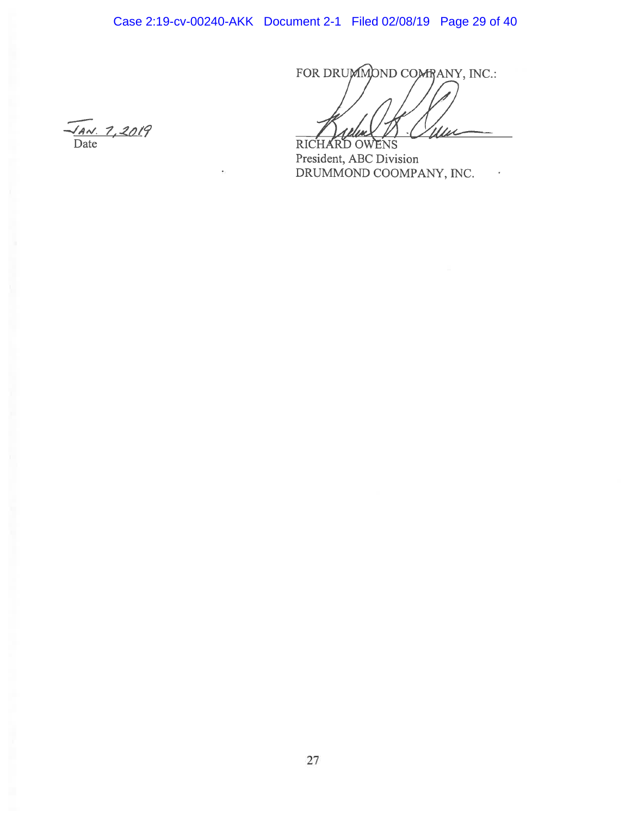Case 2:19-cv-00240-AKK Document 2-1 Filed 02/08/19 Page 29 of 40

FOR DRUMMOND COMBANY, INC.:

 $\epsilon$ 

RICHA WENS  $\Omega$ President, ABC Division DRUMMOND COOMPANY, INC.

 $\frac{74N.7,2019}{\text{Date}}$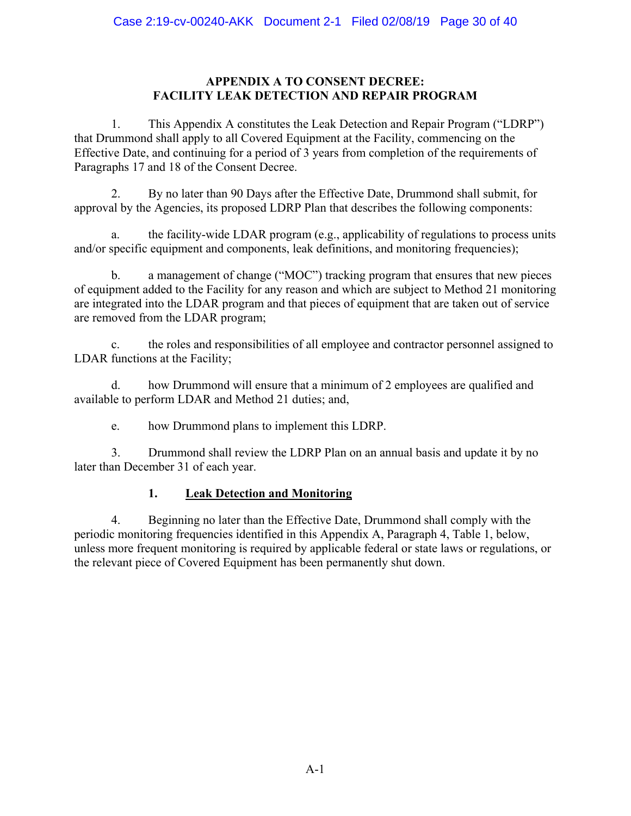#### **APPENDIX A TO CONSENT DECREE: FACILITY LEAK DETECTION AND REPAIR PROGRAM**

1. This Appendix A constitutes the Leak Detection and Repair Program ("LDRP") that Drummond shall apply to all Covered Equipment at the Facility, commencing on the Effective Date, and continuing for a period of 3 years from completion of the requirements of Paragraphs 17 and 18 of the Consent Decree.

2. By no later than 90 Days after the Effective Date, Drummond shall submit, for approval by the Agencies, its proposed LDRP Plan that describes the following components:

a. the facility-wide LDAR program (e.g., applicability of regulations to process units and/or specific equipment and components, leak definitions, and monitoring frequencies);

b. a management of change ("MOC") tracking program that ensures that new pieces of equipment added to the Facility for any reason and which are subject to Method 21 monitoring are integrated into the LDAR program and that pieces of equipment that are taken out of service are removed from the LDAR program;

c. the roles and responsibilities of all employee and contractor personnel assigned to LDAR functions at the Facility;

d. how Drummond will ensure that a minimum of 2 employees are qualified and available to perform LDAR and Method 21 duties; and,

e. how Drummond plans to implement this LDRP.

3. Drummond shall review the LDRP Plan on an annual basis and update it by no later than December 31 of each year.

### **1. Leak Detection and Monitoring**

4. Beginning no later than the Effective Date, Drummond shall comply with the periodic monitoring frequencies identified in this Appendix A, Paragraph 4, Table 1, below, unless more frequent monitoring is required by applicable federal or state laws or regulations, or the relevant piece of Covered Equipment has been permanently shut down.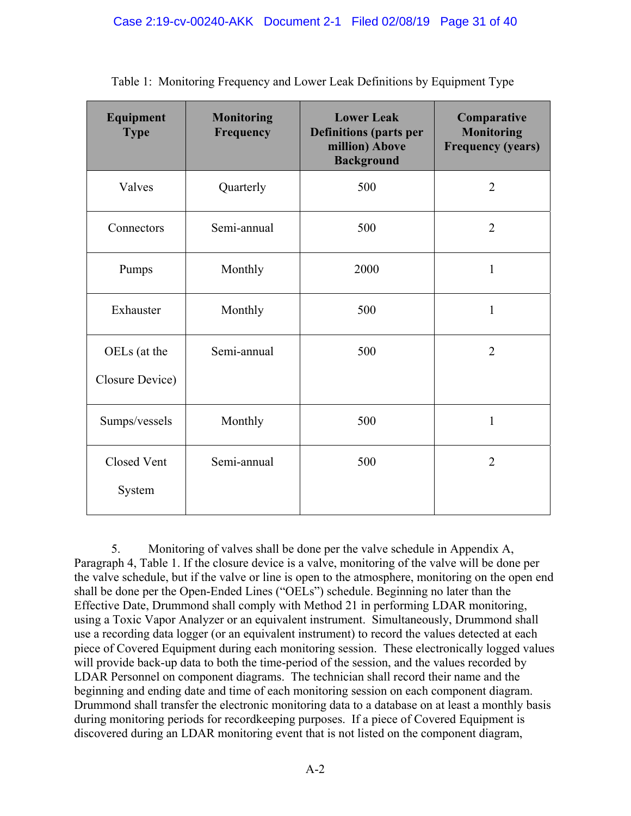| Equipment<br><b>Type</b>        | <b>Monitoring</b><br>Frequency | <b>Lower Leak</b><br><b>Definitions (parts per</b><br>million) Above<br><b>Background</b> | Comparative<br><b>Monitoring</b><br><b>Frequency (years)</b> |
|---------------------------------|--------------------------------|-------------------------------------------------------------------------------------------|--------------------------------------------------------------|
| Valves                          | Quarterly                      | 500                                                                                       | $\overline{2}$                                               |
| Connectors                      | Semi-annual                    | 500                                                                                       | $\overline{2}$                                               |
| Pumps                           | Monthly                        | 2000                                                                                      | $\mathbf{1}$                                                 |
| Exhauster                       | Monthly                        | 500                                                                                       | $\mathbf{1}$                                                 |
| OELs (at the<br>Closure Device) | Semi-annual                    | 500                                                                                       | $\overline{2}$                                               |
| Sumps/vessels                   | Monthly                        | 500                                                                                       | $\mathbf{1}$                                                 |
| <b>Closed Vent</b><br>System    | Semi-annual                    | 500                                                                                       | $\overline{2}$                                               |

| Table 1: Monitoring Frequency and Lower Leak Definitions by Equipment Type |  |  |  |  |
|----------------------------------------------------------------------------|--|--|--|--|
|                                                                            |  |  |  |  |
|                                                                            |  |  |  |  |

5. Monitoring of valves shall be done per the valve schedule in Appendix A, Paragraph 4, Table 1. If the closure device is a valve, monitoring of the valve will be done per the valve schedule, but if the valve or line is open to the atmosphere, monitoring on the open end shall be done per the Open-Ended Lines ("OELs") schedule. Beginning no later than the Effective Date, Drummond shall comply with Method 21 in performing LDAR monitoring, using a Toxic Vapor Analyzer or an equivalent instrument. Simultaneously, Drummond shall use a recording data logger (or an equivalent instrument) to record the values detected at each piece of Covered Equipment during each monitoring session. These electronically logged values will provide back-up data to both the time-period of the session, and the values recorded by LDAR Personnel on component diagrams. The technician shall record their name and the beginning and ending date and time of each monitoring session on each component diagram. Drummond shall transfer the electronic monitoring data to a database on at least a monthly basis during monitoring periods for recordkeeping purposes. If a piece of Covered Equipment is discovered during an LDAR monitoring event that is not listed on the component diagram,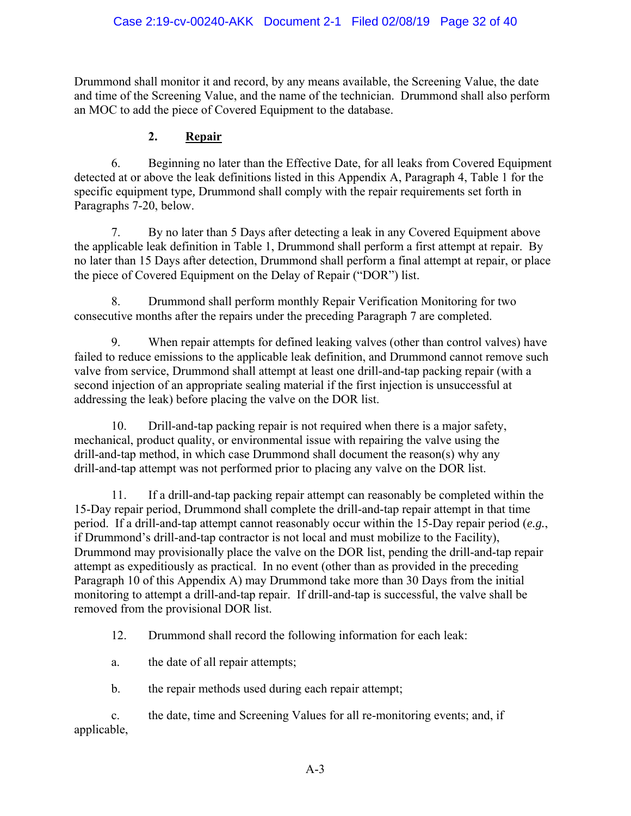Drummond shall monitor it and record, by any means available, the Screening Value, the date and time of the Screening Value, and the name of the technician. Drummond shall also perform an MOC to add the piece of Covered Equipment to the database.

#### **2. Repair**

6. Beginning no later than the Effective Date, for all leaks from Covered Equipment detected at or above the leak definitions listed in this Appendix A, Paragraph 4, Table 1 for the specific equipment type*,* Drummond shall comply with the repair requirements set forth in Paragraphs 7-20, below.

7. By no later than 5 Days after detecting a leak in any Covered Equipment above the applicable leak definition in Table 1, Drummond shall perform a first attempt at repair. By no later than 15 Days after detection, Drummond shall perform a final attempt at repair, or place the piece of Covered Equipment on the Delay of Repair ("DOR") list.

8. Drummond shall perform monthly Repair Verification Monitoring for two consecutive months after the repairs under the preceding Paragraph 7 are completed.

9. When repair attempts for defined leaking valves (other than control valves) have failed to reduce emissions to the applicable leak definition, and Drummond cannot remove such valve from service, Drummond shall attempt at least one drill-and-tap packing repair (with a second injection of an appropriate sealing material if the first injection is unsuccessful at addressing the leak) before placing the valve on the DOR list.

10. Drill-and-tap packing repair is not required when there is a major safety, mechanical, product quality, or environmental issue with repairing the valve using the drill-and-tap method, in which case Drummond shall document the reason(s) why any drill-and-tap attempt was not performed prior to placing any valve on the DOR list.

11. If a drill-and-tap packing repair attempt can reasonably be completed within the 15-Day repair period, Drummond shall complete the drill-and-tap repair attempt in that time period. If a drill-and-tap attempt cannot reasonably occur within the 15-Day repair period (*e.g.*, if Drummond's drill-and-tap contractor is not local and must mobilize to the Facility), Drummond may provisionally place the valve on the DOR list, pending the drill-and-tap repair attempt as expeditiously as practical. In no event (other than as provided in the preceding Paragraph 10 of this Appendix A) may Drummond take more than 30 Days from the initial monitoring to attempt a drill-and-tap repair. If drill-and-tap is successful, the valve shall be removed from the provisional DOR list.

12. Drummond shall record the following information for each leak:

a. the date of all repair attempts;

b. the repair methods used during each repair attempt;

c. the date, time and Screening Values for all re-monitoring events; and, if applicable,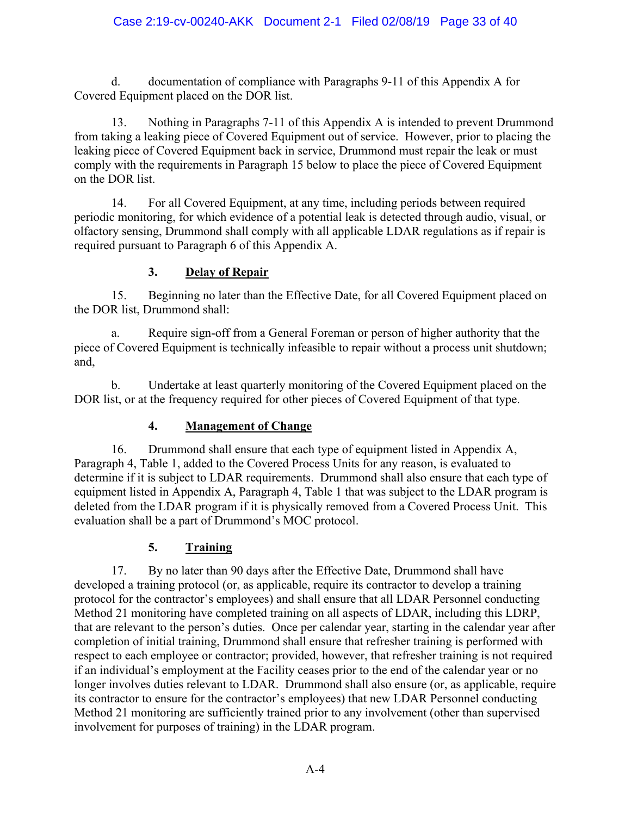d. documentation of compliance with Paragraphs 9-11 of this Appendix A for Covered Equipment placed on the DOR list.

13. Nothing in Paragraphs 7-11 of this Appendix A is intended to prevent Drummond from taking a leaking piece of Covered Equipment out of service. However, prior to placing the leaking piece of Covered Equipment back in service, Drummond must repair the leak or must comply with the requirements in Paragraph 15 below to place the piece of Covered Equipment on the DOR list.

14. For all Covered Equipment, at any time, including periods between required periodic monitoring, for which evidence of a potential leak is detected through audio, visual, or olfactory sensing, Drummond shall comply with all applicable LDAR regulations as if repair is required pursuant to Paragraph 6 of this Appendix A.

# **3. Delay of Repair**

15. Beginning no later than the Effective Date, for all Covered Equipment placed on the DOR list, Drummond shall:

a. Require sign-off from a General Foreman or person of higher authority that the piece of Covered Equipment is technically infeasible to repair without a process unit shutdown; and,

b. Undertake at least quarterly monitoring of the Covered Equipment placed on the DOR list, or at the frequency required for other pieces of Covered Equipment of that type.

# **4. Management of Change**

16. Drummond shall ensure that each type of equipment listed in Appendix A, Paragraph 4, Table 1, added to the Covered Process Units for any reason, is evaluated to determine if it is subject to LDAR requirements. Drummond shall also ensure that each type of equipment listed in Appendix A, Paragraph 4, Table 1 that was subject to the LDAR program is deleted from the LDAR program if it is physically removed from a Covered Process Unit. This evaluation shall be a part of Drummond's MOC protocol.

# **5. Training**

17. By no later than 90 days after the Effective Date, Drummond shall have developed a training protocol (or, as applicable, require its contractor to develop a training protocol for the contractor's employees) and shall ensure that all LDAR Personnel conducting Method 21 monitoring have completed training on all aspects of LDAR, including this LDRP, that are relevant to the person's duties. Once per calendar year, starting in the calendar year after completion of initial training, Drummond shall ensure that refresher training is performed with respect to each employee or contractor; provided, however, that refresher training is not required if an individual's employment at the Facility ceases prior to the end of the calendar year or no longer involves duties relevant to LDAR. Drummond shall also ensure (or, as applicable, require its contractor to ensure for the contractor's employees) that new LDAR Personnel conducting Method 21 monitoring are sufficiently trained prior to any involvement (other than supervised involvement for purposes of training) in the LDAR program.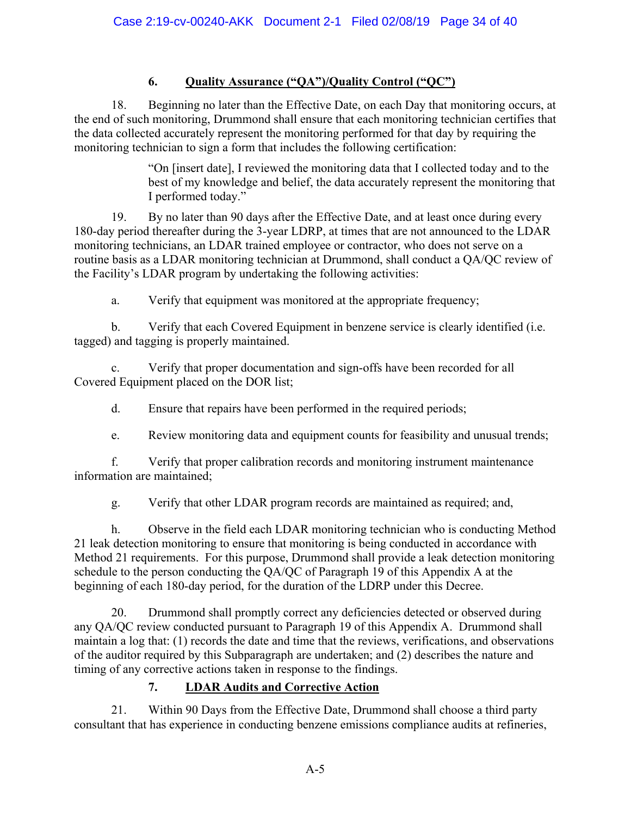# **6. Quality Assurance ("QA")/Quality Control ("QC")**

18. Beginning no later than the Effective Date, on each Day that monitoring occurs, at the end of such monitoring, Drummond shall ensure that each monitoring technician certifies that the data collected accurately represent the monitoring performed for that day by requiring the monitoring technician to sign a form that includes the following certification:

> "On [insert date], I reviewed the monitoring data that I collected today and to the best of my knowledge and belief, the data accurately represent the monitoring that I performed today."

19. By no later than 90 days after the Effective Date, and at least once during every 180-day period thereafter during the 3-year LDRP, at times that are not announced to the LDAR monitoring technicians, an LDAR trained employee or contractor, who does not serve on a routine basis as a LDAR monitoring technician at Drummond, shall conduct a QA/QC review of the Facility's LDAR program by undertaking the following activities:

a. Verify that equipment was monitored at the appropriate frequency;

b. Verify that each Covered Equipment in benzene service is clearly identified (i.e. tagged) and tagging is properly maintained.

c. Verify that proper documentation and sign-offs have been recorded for all Covered Equipment placed on the DOR list;

d. Ensure that repairs have been performed in the required periods;

e. Review monitoring data and equipment counts for feasibility and unusual trends;

f. Verify that proper calibration records and monitoring instrument maintenance information are maintained;

g. Verify that other LDAR program records are maintained as required; and,

h. Observe in the field each LDAR monitoring technician who is conducting Method 21 leak detection monitoring to ensure that monitoring is being conducted in accordance with Method 21 requirements. For this purpose, Drummond shall provide a leak detection monitoring schedule to the person conducting the QA/QC of Paragraph 19 of this Appendix A at the beginning of each 180-day period, for the duration of the LDRP under this Decree.

20. Drummond shall promptly correct any deficiencies detected or observed during any QA/QC review conducted pursuant to Paragraph 19 of this Appendix A. Drummond shall maintain a log that: (1) records the date and time that the reviews, verifications, and observations of the auditor required by this Subparagraph are undertaken; and (2) describes the nature and timing of any corrective actions taken in response to the findings.

# **7. LDAR Audits and Corrective Action**

21. Within 90 Days from the Effective Date, Drummond shall choose a third party consultant that has experience in conducting benzene emissions compliance audits at refineries,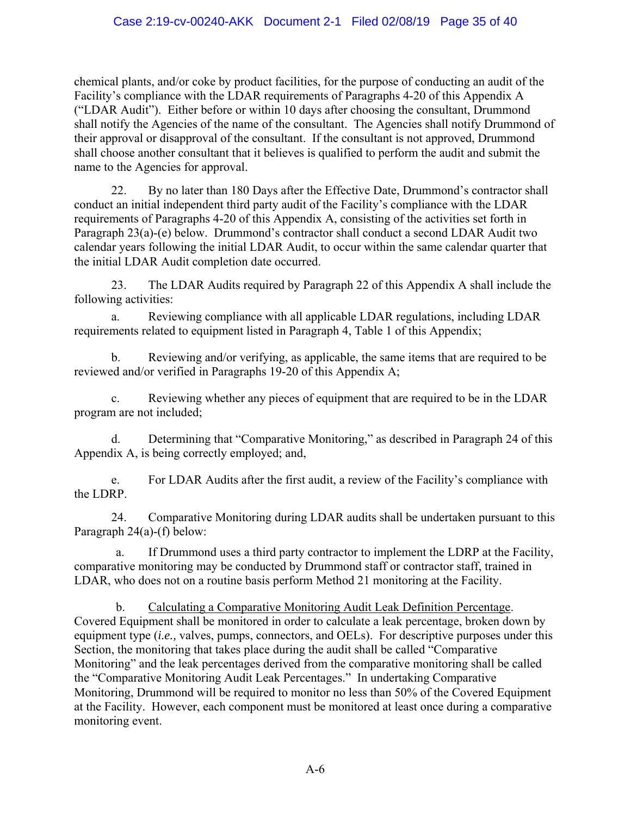chemical plants, and/or coke by product facilities, for the purpose of conducting an audit of the Facility's compliance with the LDAR requirements of Paragraphs 4-20 of this Appendix A ("LDAR Audit"). Either before or within 10 days after choosing the consultant, Drummond shall notify the Agencies of the name of the consultant. The Agencies shall notify Drummond of their approval or disapproval of the consultant. If the consultant is not approved, Drummond shall choose another consultant that it believes is qualified to perform the audit and submit the name to the Agencies for approval.

22. By no later than 180 Days after the Effective Date, Drummond's contractor shall conduct an initial independent third party audit of the Facility's compliance with the LDAR requirements of Paragraphs 4-20 of this Appendix A, consisting of the activities set forth in Paragraph 23(a)-(e) below. Drummond's contractor shall conduct a second LDAR Audit two calendar years following the initial LDAR Audit, to occur within the same calendar quarter that the initial LDAR Audit completion date occurred.

23. The LDAR Audits required by Paragraph 22 of this Appendix A shall include the following activities:

a. Reviewing compliance with all applicable LDAR regulations, including LDAR requirements related to equipment listed in Paragraph 4, Table 1 of this Appendix;

b. Reviewing and/or verifying, as applicable, the same items that are required to be reviewed and/or verified in Paragraphs 19-20 of this Appendix A;

c. Reviewing whether any pieces of equipment that are required to be in the LDAR program are not included;

d. Determining that "Comparative Monitoring," as described in Paragraph 24 of this Appendix A, is being correctly employed; and,

e. For LDAR Audits after the first audit, a review of the Facility's compliance with the LDRP.

24. Comparative Monitoring during LDAR audits shall be undertaken pursuant to this Paragraph 24(a)-(f) below:

a. If Drummond uses a third party contractor to implement the LDRP at the Facility, comparative monitoring may be conducted by Drummond staff or contractor staff, trained in LDAR, who does not on a routine basis perform Method 21 monitoring at the Facility.

b. Calculating a Comparative Monitoring Audit Leak Definition Percentage. Covered Equipment shall be monitored in order to calculate a leak percentage, broken down by equipment type (*i.e.,* valves, pumps, connectors, and OELs). For descriptive purposes under this Section, the monitoring that takes place during the audit shall be called "Comparative Monitoring" and the leak percentages derived from the comparative monitoring shall be called the "Comparative Monitoring Audit Leak Percentages." In undertaking Comparative Monitoring, Drummond will be required to monitor no less than 50% of the Covered Equipment at the Facility. However, each component must be monitored at least once during a comparative monitoring event.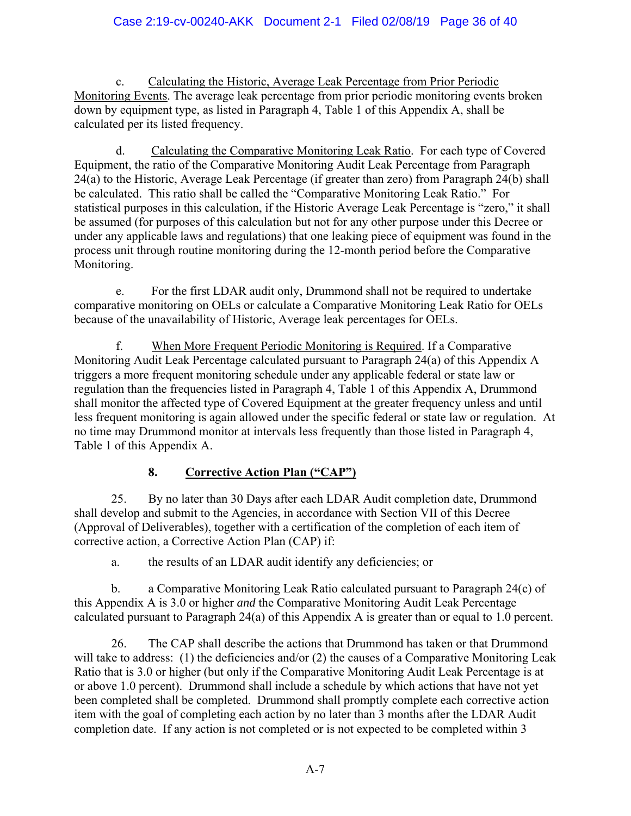c. Calculating the Historic, Average Leak Percentage from Prior Periodic Monitoring Events. The average leak percentage from prior periodic monitoring events broken down by equipment type, as listed in Paragraph 4, Table 1 of this Appendix A, shall be calculated per its listed frequency.

d. Calculating the Comparative Monitoring Leak Ratio. For each type of Covered Equipment, the ratio of the Comparative Monitoring Audit Leak Percentage from Paragraph 24(a) to the Historic, Average Leak Percentage (if greater than zero) from Paragraph 24(b) shall be calculated. This ratio shall be called the "Comparative Monitoring Leak Ratio." For statistical purposes in this calculation, if the Historic Average Leak Percentage is "zero," it shall be assumed (for purposes of this calculation but not for any other purpose under this Decree or under any applicable laws and regulations) that one leaking piece of equipment was found in the process unit through routine monitoring during the 12-month period before the Comparative Monitoring.

e. For the first LDAR audit only, Drummond shall not be required to undertake comparative monitoring on OELs or calculate a Comparative Monitoring Leak Ratio for OELs because of the unavailability of Historic, Average leak percentages for OELs.

f. When More Frequent Periodic Monitoring is Required. If a Comparative Monitoring Audit Leak Percentage calculated pursuant to Paragraph 24(a) of this Appendix A triggers a more frequent monitoring schedule under any applicable federal or state law or regulation than the frequencies listed in Paragraph 4, Table 1 of this Appendix A, Drummond shall monitor the affected type of Covered Equipment at the greater frequency unless and until less frequent monitoring is again allowed under the specific federal or state law or regulation. At no time may Drummond monitor at intervals less frequently than those listed in Paragraph 4, Table 1 of this Appendix A.

# **8. Corrective Action Plan ("CAP")**

25. By no later than 30 Days after each LDAR Audit completion date, Drummond shall develop and submit to the Agencies, in accordance with Section VII of this Decree (Approval of Deliverables), together with a certification of the completion of each item of corrective action, a Corrective Action Plan (CAP) if:

a. the results of an LDAR audit identify any deficiencies; or

b. a Comparative Monitoring Leak Ratio calculated pursuant to Paragraph 24(c) of this Appendix A is 3.0 or higher *and* the Comparative Monitoring Audit Leak Percentage calculated pursuant to Paragraph 24(a) of this Appendix A is greater than or equal to 1.0 percent.

26. The CAP shall describe the actions that Drummond has taken or that Drummond will take to address: (1) the deficiencies and/or (2) the causes of a Comparative Monitoring Leak Ratio that is 3.0 or higher (but only if the Comparative Monitoring Audit Leak Percentage is at or above 1.0 percent). Drummond shall include a schedule by which actions that have not yet been completed shall be completed. Drummond shall promptly complete each corrective action item with the goal of completing each action by no later than 3 months after the LDAR Audit completion date. If any action is not completed or is not expected to be completed within 3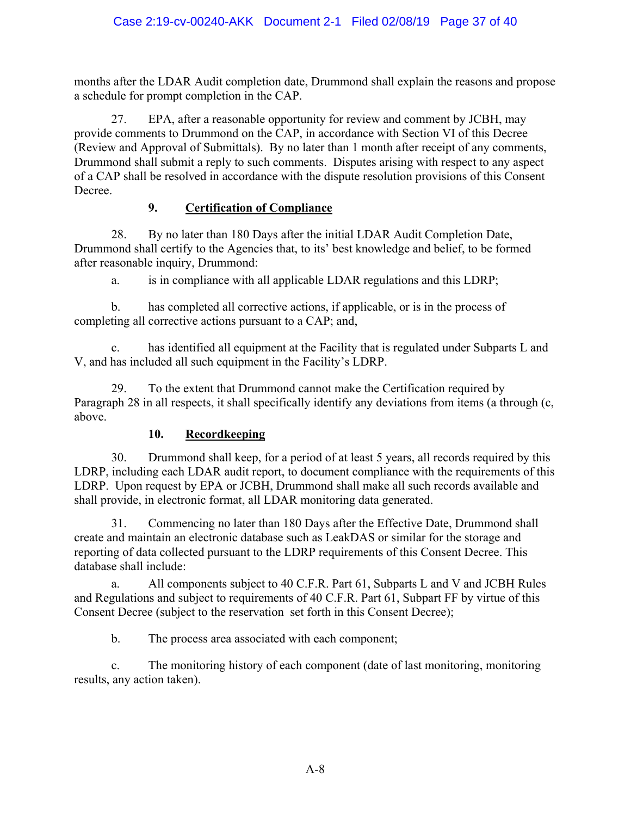months after the LDAR Audit completion date, Drummond shall explain the reasons and propose a schedule for prompt completion in the CAP.

27. EPA, after a reasonable opportunity for review and comment by JCBH, may provide comments to Drummond on the CAP, in accordance with Section VI of this Decree (Review and Approval of Submittals). By no later than 1 month after receipt of any comments, Drummond shall submit a reply to such comments. Disputes arising with respect to any aspect of a CAP shall be resolved in accordance with the dispute resolution provisions of this Consent Decree.

# **9. Certification of Compliance**

28. By no later than 180 Days after the initial LDAR Audit Completion Date, Drummond shall certify to the Agencies that, to its' best knowledge and belief, to be formed after reasonable inquiry, Drummond:

a. is in compliance with all applicable LDAR regulations and this LDRP;

b. has completed all corrective actions, if applicable, or is in the process of completing all corrective actions pursuant to a CAP; and,

c. has identified all equipment at the Facility that is regulated under Subparts L and V, and has included all such equipment in the Facility's LDRP.

29. To the extent that Drummond cannot make the Certification required by Paragraph 28 in all respects, it shall specifically identify any deviations from items (a through (c, above.

# **10. Recordkeeping**

30. Drummond shall keep, for a period of at least 5 years, all records required by this LDRP, including each LDAR audit report, to document compliance with the requirements of this LDRP. Upon request by EPA or JCBH, Drummond shall make all such records available and shall provide, in electronic format, all LDAR monitoring data generated.

31. Commencing no later than 180 Days after the Effective Date, Drummond shall create and maintain an electronic database such as LeakDAS or similar for the storage and reporting of data collected pursuant to the LDRP requirements of this Consent Decree. This database shall include:

a. All components subject to 40 C.F.R. Part 61, Subparts L and V and JCBH Rules and Regulations and subject to requirements of 40 C.F.R. Part 61, Subpart FF by virtue of this Consent Decree (subject to the reservation set forth in this Consent Decree);

b. The process area associated with each component;

c. The monitoring history of each component (date of last monitoring, monitoring results, any action taken).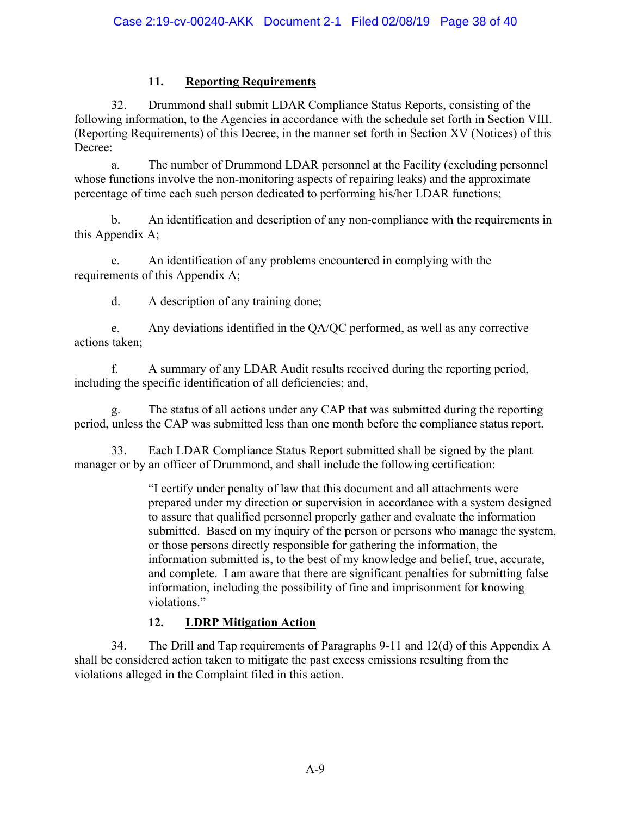# **11. Reporting Requirements**

32. Drummond shall submit LDAR Compliance Status Reports, consisting of the following information, to the Agencies in accordance with the schedule set forth in Section VIII. (Reporting Requirements) of this Decree, in the manner set forth in Section XV (Notices) of this Decree:

a. The number of Drummond LDAR personnel at the Facility (excluding personnel whose functions involve the non-monitoring aspects of repairing leaks) and the approximate percentage of time each such person dedicated to performing his/her LDAR functions;

b. An identification and description of any non-compliance with the requirements in this Appendix A;

c. An identification of any problems encountered in complying with the requirements of this Appendix A;

d. A description of any training done;

e. Any deviations identified in the QA/QC performed, as well as any corrective actions taken;

f. A summary of any LDAR Audit results received during the reporting period, including the specific identification of all deficiencies; and,

The status of all actions under any CAP that was submitted during the reporting period, unless the CAP was submitted less than one month before the compliance status report.

33. Each LDAR Compliance Status Report submitted shall be signed by the plant manager or by an officer of Drummond, and shall include the following certification:

> "I certify under penalty of law that this document and all attachments were prepared under my direction or supervision in accordance with a system designed to assure that qualified personnel properly gather and evaluate the information submitted. Based on my inquiry of the person or persons who manage the system, or those persons directly responsible for gathering the information, the information submitted is, to the best of my knowledge and belief, true, accurate, and complete. I am aware that there are significant penalties for submitting false information, including the possibility of fine and imprisonment for knowing violations."

# **12. LDRP Mitigation Action**

34. The Drill and Tap requirements of Paragraphs 9-11 and 12(d) of this Appendix A shall be considered action taken to mitigate the past excess emissions resulting from the violations alleged in the Complaint filed in this action.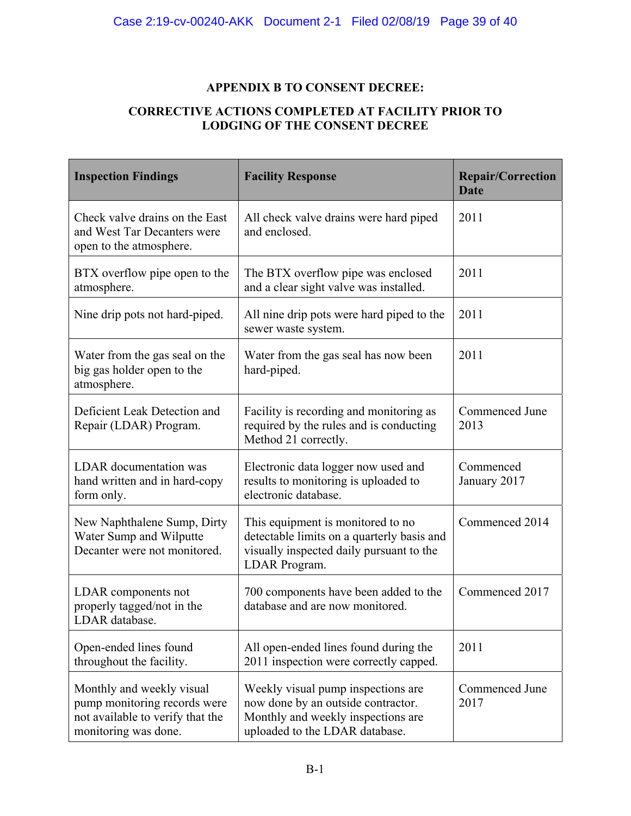# **APPENDIX B TO CONSENT DECREE:**

#### **CORRECTIVE ACTIONS COMPLETED AT FACILITY PRIOR TO LODGING OF THE CONSENT DECREE**

| <b>Inspection Findings</b>                                                                                            | <b>Facility Response</b>                                                                                                                         | <b>Repair/Correction</b><br><b>Date</b> |
|-----------------------------------------------------------------------------------------------------------------------|--------------------------------------------------------------------------------------------------------------------------------------------------|-----------------------------------------|
| Check valve drains on the East<br>and West Tar Decanters were<br>open to the atmosphere.                              | All check valve drains were hard piped<br>and enclosed.                                                                                          | 2011                                    |
| BTX overflow pipe open to the<br>atmosphere.                                                                          | The BTX overflow pipe was enclosed<br>and a clear sight valve was installed.                                                                     | 2011                                    |
| Nine drip pots not hard-piped.                                                                                        | All nine drip pots were hard piped to the<br>sewer waste system.                                                                                 | 2011                                    |
| Water from the gas seal on the<br>big gas holder open to the<br>atmosphere.                                           | Water from the gas seal has now been<br>hard-piped.                                                                                              | 2011                                    |
| Deficient Leak Detection and<br>Repair (LDAR) Program.                                                                | Facility is recording and monitoring as<br>required by the rules and is conducting<br>Method 21 correctly.                                       | Commenced June<br>2013                  |
| <b>LDAR</b> documentation was<br>hand written and in hard-copy<br>form only.                                          | Electronic data logger now used and<br>results to monitoring is uploaded to<br>electronic database.                                              | Commenced<br>January 2017               |
| New Naphthalene Sump, Dirty<br>Water Sump and Wilputte<br>Decanter were not monitored.                                | This equipment is monitored to no<br>detectable limits on a quarterly basis and<br>visually inspected daily pursuant to the<br>LDAR Program.     | Commenced 2014                          |
| LDAR components not<br>properly tagged/not in the<br>LDAR database.                                                   | 700 components have been added to the<br>database and are now monitored.                                                                         | Commenced 2017                          |
| Open-ended lines found<br>throughout the facility.                                                                    | All open-ended lines found during the<br>2011 inspection were correctly capped.                                                                  | 2011                                    |
| Monthly and weekly visual<br>pump monitoring records were<br>not available to verify that the<br>monitoring was done. | Weekly visual pump inspections are<br>now done by an outside contractor.<br>Monthly and weekly inspections are<br>uploaded to the LDAR database. | Commenced June<br>2017                  |